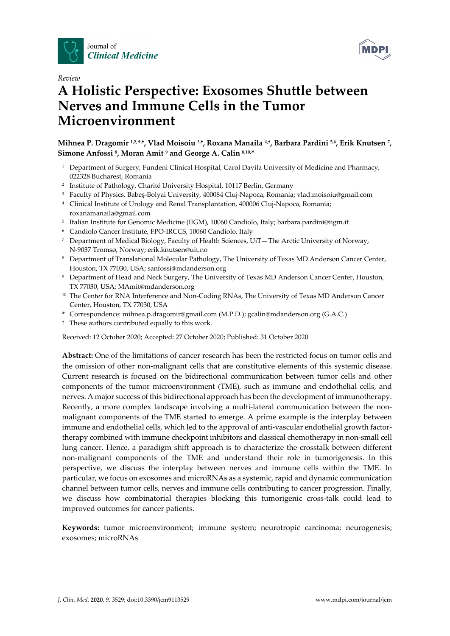



# *Review*  **A Holistic Perspective: Exosomes Shuttle between Nerves and Immune Cells in the Tumor Microenvironment**

**Mihnea P. Dragomir 1,2,\*,†, Vlad Moisoiu 3,†, Roxana Manaila 4,†, Barbara Pardini 5,6, Erik Knutsen 7, Simone Anfossi 8, Moran Amit 9 and George A. Calin 8,10,\*** 

- <sup>1</sup> Department of Surgery, Fundeni Clinical Hospital, Carol Davila University of Medicine and Pharmacy, 022328 Bucharest, Romania
- <sup>2</sup> Institute of Pathology, Charité University Hospital, 10117 Berlin, Germany
- 3 Faculty of Physics, Babeş-Bolyai University, 400084 Cluj-Napoca, Romania; vlad.moisoiu@gmail.com
- 4 Clinical Institute of Urology and Renal Transplantation, 400006 Cluj-Napoca, Romania; roxanamanaila@gmail.com
- <sup>5</sup> Italian Institute for Genomic Medicine (IIGM), 10060 Candiolo, Italy; barbara.pardini@iigm.it
- 6 Candiolo Cancer Institute, FPO-IRCCS, 10060 Candiolo, Italy
- 7 Department of Medical Biology, Faculty of Health Sciences, UiT—The Arctic University of Norway, N-9037 Tromsø, Norway; erik.knutsen@uit.no
- 8 Department of Translational Molecular Pathology, The University of Texas MD Anderson Cancer Center, Houston, TX 77030, USA; sanfossi@mdanderson.org
- 9 Department of Head and Neck Surgery, The University of Texas MD Anderson Cancer Center, Houston, TX 77030, USA; MAmit@mdanderson.org
- <sup>10</sup> The Center for RNA Interference and Non-Coding RNAs, The University of Texas MD Anderson Cancer Center, Houston, TX 77030, USA
- **\*** Correspondence: mihnea.p.dragomir@gmail.com (M.P.D.); gcalin@mdanderson.org (G.A.C.)
- **†** These authors contributed equally to this work.

Received: 12 October 2020; Accepted: 27 October 2020; Published: 31 October 2020

**Abstract:** One of the limitations of cancer research has been the restricted focus on tumor cells and the omission of other non-malignant cells that are constitutive elements of this systemic disease. Current research is focused on the bidirectional communication between tumor cells and other components of the tumor microenvironment (TME), such as immune and endothelial cells, and nerves. A major success of this bidirectional approach has been the development of immunotherapy. Recently, a more complex landscape involving a multi-lateral communication between the nonmalignant components of the TME started to emerge. A prime example is the interplay between immune and endothelial cells, which led to the approval of anti-vascular endothelial growth factortherapy combined with immune checkpoint inhibitors and classical chemotherapy in non-small cell lung cancer. Hence, a paradigm shift approach is to characterize the crosstalk between different non-malignant components of the TME and understand their role in tumorigenesis. In this perspective, we discuss the interplay between nerves and immune cells within the TME. In particular, we focus on exosomes and microRNAs as a systemic, rapid and dynamic communication channel between tumor cells, nerves and immune cells contributing to cancer progression. Finally, we discuss how combinatorial therapies blocking this tumorigenic cross-talk could lead to improved outcomes for cancer patients.

**Keywords:** tumor microenvironment; immune system; neurotropic carcinoma; neurogenesis; exosomes; microRNAs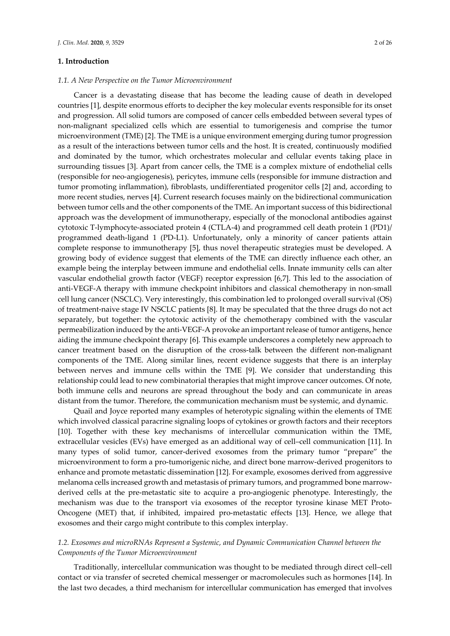#### **1. Introduction**

#### *1.1. A New Perspective on the Tumor Microenvironment*

Cancer is a devastating disease that has become the leading cause of death in developed countries [1], despite enormous efforts to decipher the key molecular events responsible for its onset and progression. All solid tumors are composed of cancer cells embedded between several types of non-malignant specialized cells which are essential to tumorigenesis and comprise the tumor microenvironment (TME) [2]. The TME is a unique environment emerging during tumor progression as a result of the interactions between tumor cells and the host. It is created, continuously modified and dominated by the tumor, which orchestrates molecular and cellular events taking place in surrounding tissues [3]. Apart from cancer cells, the TME is a complex mixture of endothelial cells (responsible for neo-angiogenesis), pericytes, immune cells (responsible for immune distraction and tumor promoting inflammation), fibroblasts, undifferentiated progenitor cells [2] and, according to more recent studies, nerves [4]. Current research focuses mainly on the bidirectional communication between tumor cells and the other components of the TME. An important success of this bidirectional approach was the development of immunotherapy, especially of the monoclonal antibodies against cytotoxic T-lymphocyte-associated protein 4 (CTLA-4) and programmed cell death protein 1 (PD1)/ programmed death-ligand 1 (PD-L1). Unfortunately, only a minority of cancer patients attain complete response to immunotherapy [5], thus novel therapeutic strategies must be developed. A growing body of evidence suggest that elements of the TME can directly influence each other, an example being the interplay between immune and endothelial cells. Innate immunity cells can alter vascular endothelial growth factor (VEGF) receptor expression [6,7]. This led to the association of anti-VEGF-A therapy with immune checkpoint inhibitors and classical chemotherapy in non-small cell lung cancer (NSCLC). Very interestingly, this combination led to prolonged overall survival (OS) of treatment-naive stage IV NSCLC patients [8]. It may be speculated that the three drugs do not act separately, but together: the cytotoxic activity of the chemotherapy combined with the vascular permeabilization induced by the anti-VEGF-A provoke an important release of tumor antigens, hence aiding the immune checkpoint therapy [6]. This example underscores a completely new approach to cancer treatment based on the disruption of the cross-talk between the different non-malignant components of the TME. Along similar lines, recent evidence suggests that there is an interplay between nerves and immune cells within the TME [9]. We consider that understanding this relationship could lead to new combinatorial therapies that might improve cancer outcomes. Of note, both immune cells and neurons are spread throughout the body and can communicate in areas distant from the tumor. Therefore, the communication mechanism must be systemic, and dynamic.

Quail and Joyce reported many examples of heterotypic signaling within the elements of TME which involved classical paracrine signaling loops of cytokines or growth factors and their receptors [10]. Together with these key mechanisms of intercellular communication within the TME, extracellular vesicles (EVs) have emerged as an additional way of cell–cell communication [11]. In many types of solid tumor, cancer-derived exosomes from the primary tumor "prepare" the microenvironment to form a pro-tumorigenic niche, and direct bone marrow-derived progenitors to enhance and promote metastatic dissemination [12]. For example, exosomes derived from aggressive melanoma cells increased growth and metastasis of primary tumors, and programmed bone marrowderived cells at the pre-metastatic site to acquire a pro-angiogenic phenotype. Interestingly, the mechanism was due to the transport via exosomes of the receptor tyrosine kinase MET Proto-Oncogene (MET) that, if inhibited, impaired pro-metastatic effects [13]. Hence, we allege that exosomes and their cargo might contribute to this complex interplay.

## *1.2. Exosomes and microRNAs Represent a Systemic, and Dynamic Communication Channel between the Components of the Tumor Microenvironment*

Traditionally, intercellular communication was thought to be mediated through direct cell–cell contact or via transfer of secreted chemical messenger or macromolecules such as hormones [14]. In the last two decades, a third mechanism for intercellular communication has emerged that involves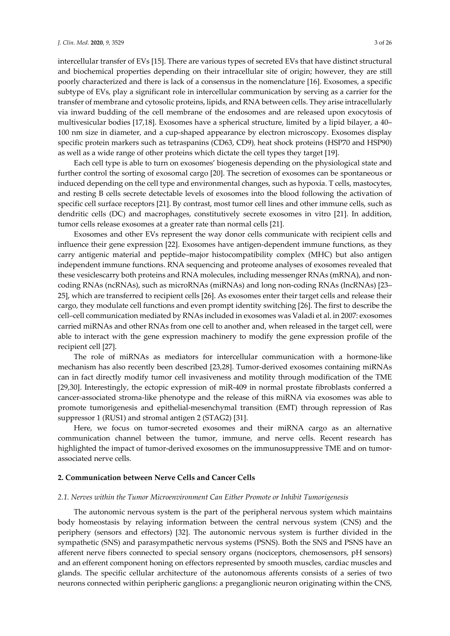intercellular transfer of EVs [15]. There are various types of secreted EVs that have distinct structural and biochemical properties depending on their intracellular site of origin; however, they are still poorly characterized and there is lack of a consensus in the nomenclature [16]. Exosomes, a specific subtype of EVs, play a significant role in intercellular communication by serving as a carrier for the transfer of membrane and cytosolic proteins, lipids, and RNA between cells. They arise intracellularly via inward budding of the cell membrane of the endosomes and are released upon exocytosis of multivesicular bodies [17,18]. Exosomes have a spherical structure, limited by a lipid bilayer, a 40– 100 nm size in diameter, and a cup-shaped appearance by electron microscopy. Exosomes display specific protein markers such as tetraspanins (CD63, CD9), heat shock proteins (HSP70 and HSP90) as well as a wide range of other proteins which dictate the cell types they target [19].

Each cell type is able to turn on exosomes' biogenesis depending on the physiological state and further control the sorting of exosomal cargo [20]. The secretion of exosomes can be spontaneous or induced depending on the cell type and environmental changes, such as hypoxia. T cells, mastocytes, and resting B cells secrete detectable levels of exosomes into the blood following the activation of specific cell surface receptors [21]. By contrast, most tumor cell lines and other immune cells, such as dendritic cells (DC) and macrophages, constitutively secrete exosomes in vitro [21]. In addition, tumor cells release exosomes at a greater rate than normal cells [21].

Exosomes and other EVs represent the way donor cells communicate with recipient cells and influence their gene expression [22]. Exosomes have antigen-dependent immune functions, as they carry antigenic material and peptide–major histocompatibility complex (MHC) but also antigen independent immune functions. RNA sequencing and proteome analyses of exosomes revealed that these vesiclescarry both proteins and RNA molecules, including messenger RNAs (mRNA), and noncoding RNAs (ncRNAs), such as microRNAs (miRNAs) and long non-coding RNAs (lncRNAs) [23– 25], which are transferred to recipient cells [26]. As exosomes enter their target cells and release their cargo, they modulate cell functions and even prompt identity switching [26]. The first to describe the cell–cell communication mediated by RNAs included in exosomes was Valadi et al. in 2007: exosomes carried miRNAs and other RNAs from one cell to another and, when released in the target cell, were able to interact with the gene expression machinery to modify the gene expression profile of the recipient cell [27].

The role of miRNAs as mediators for intercellular communication with a hormone-like mechanism has also recently been described [23,28]. Tumor-derived exosomes containing miRNAs can in fact directly modify tumor cell invasiveness and motility through modification of the TME [29,30]. Interestingly, the ectopic expression of miR-409 in normal prostate fibroblasts conferred a cancer-associated stroma-like phenotype and the release of this miRNA via exosomes was able to promote tumorigenesis and epithelial-mesenchymal transition (EMT) through repression of Ras suppressor 1 (RUS1) and stromal antigen 2 (STAG2) [31].

Here, we focus on tumor-secreted exosomes and their miRNA cargo as an alternative communication channel between the tumor, immune, and nerve cells. Recent research has highlighted the impact of tumor-derived exosomes on the immunosuppressive TME and on tumorassociated nerve cells.

## **2. Communication between Nerve Cells and Cancer Cells**

## *2.1. Nerves within the Tumor Microenvironment Can Either Promote or Inhibit Tumorigenesis*

The autonomic nervous system is the part of the peripheral nervous system which maintains body homeostasis by relaying information between the central nervous system (CNS) and the periphery (sensors and effectors) [32]. The autonomic nervous system is further divided in the sympathetic (SNS) and parasympathetic nervous systems (PSNS). Both the SNS and PSNS have an afferent nerve fibers connected to special sensory organs (nociceptors, chemosensors, pH sensors) and an efferent component honing on effectors represented by smooth muscles, cardiac muscles and glands. The specific cellular architecture of the autonomous afferents consists of a series of two neurons connected within peripheric ganglions: a preganglionic neuron originating within the CNS,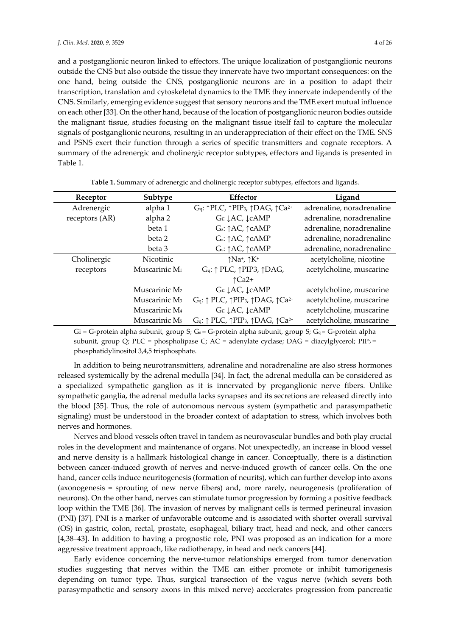and a postganglionic neuron linked to effectors. The unique localization of postganglionic neurons outside the CNS but also outside the tissue they innervate have two important consequences: on the one hand, being outside the CNS, postganglionic neurons are in a position to adapt their transcription, translation and cytoskeletal dynamics to the TME they innervate independently of the CNS. Similarly, emerging evidence suggest that sensory neurons and the TME exert mutual influence on each other [33]. On the other hand, because of the location of postganglionic neuron bodies outside the malignant tissue, studies focusing on the malignant tissue itself fail to capture the molecular signals of postganglionic neurons, resulting in an underappreciation of their effect on the TME. SNS and PSNS exert their function through a series of specific transmitters and cognate receptors. A summary of the adrenergic and cholinergic receptor subtypes, effectors and ligands is presented in Table 1.

| Receptor       | Subtype                   | Effector                                                                                          | Ligand                    |
|----------------|---------------------------|---------------------------------------------------------------------------------------------------|---------------------------|
| Adrenergic     | alpha 1                   | Gq: 1PLC, 1PIP <sub>3</sub> , 1DAG, 1Ca <sup>2+</sup>                                             | adrenaline, noradrenaline |
| receptors (AR) | alpha 2                   | Gi: JAC, JcAMP                                                                                    | adrenaline, noradrenaline |
|                | beta 1                    | Gs: ↑AC, ↑cAMP                                                                                    | adrenaline, noradrenaline |
|                | beta 2                    | Gs: ↑AC, ↑cAMP                                                                                    | adrenaline, noradrenaline |
|                | beta 3                    | Gs: ↑AC, ↑cAMP                                                                                    | adrenaline, noradrenaline |
| Cholinergic    | Nicotinic                 | $\uparrow$ Na <sup>+</sup> , $\uparrow$ K <sup>+</sup>                                            | acetylcholine, nicotine   |
| receptors      | Muscarinic M <sub>1</sub> | Gq: 1 PLC, 1 PIP3, 1 DAG,                                                                         | acetylcholine, muscarine  |
|                |                           | $\uparrow$ Ca2+                                                                                   |                           |
|                | Muscarinic M <sub>2</sub> | Gi: JAC, JcAMP                                                                                    | acetylcholine, muscarine  |
|                | Muscarinic M <sub>3</sub> | $G_q$ : $\uparrow$ PLC, $\uparrow$ PIP <sub>3</sub> , $\uparrow$ DAG, $\uparrow$ Ca <sup>2+</sup> | acetylcholine, muscarine  |
|                | Muscarinic M <sub>4</sub> | Gi: JAC, JcAMP                                                                                    | acetylcholine, muscarine  |
|                | Muscarinic M <sub>5</sub> | $G_q$ : $\uparrow$ PLC, $\uparrow$ PIP <sub>3</sub> , $\uparrow$ DAG, $\uparrow$ Ca <sup>2+</sup> | acetylcholine, muscarine  |

**Table 1.** Summary of adrenergic and cholinergic receptor subtypes, effectors and ligands.

Gi = G-protein alpha subunit, group S; G<sub>s</sub> = G-protein alpha subunit, group S; G<sub>q</sub> = G-protein alpha subunit, group Q; PLC = phospholipase C; AC = adenylate cyclase; DAG = diacylglycerol; PIP3 = phosphatidylinositol 3,4,5 trisphosphate.

In addition to being neurotransmitters, adrenaline and noradrenaline are also stress hormones released systemically by the adrenal medulla [34]. In fact, the adrenal medulla can be considered as a specialized sympathetic ganglion as it is innervated by preganglionic nerve fibers. Unlike sympathetic ganglia, the adrenal medulla lacks synapses and its secretions are released directly into the blood [35]. Thus, the role of autonomous nervous system (sympathetic and parasympathetic signaling) must be understood in the broader context of adaptation to stress, which involves both nerves and hormones.

Nerves and blood vessels often travel in tandem as neurovascular bundles and both play crucial roles in the development and maintenance of organs. Not unexpectedly, an increase in blood vessel and nerve density is a hallmark histological change in cancer. Conceptually, there is a distinction between cancer-induced growth of nerves and nerve-induced growth of cancer cells. On the one hand, cancer cells induce neuritogenesis (formation of neurits), which can further develop into axons (axonogenesis = sprouting of new nerve fibers) and, more rarely, neurogenesis (proliferation of neurons). On the other hand, nerves can stimulate tumor progression by forming a positive feedback loop within the TME [36]. The invasion of nerves by malignant cells is termed perineural invasion (PNI) [37]. PNI is a marker of unfavorable outcome and is associated with shorter overall survival (OS) in gastric, colon, rectal, prostate, esophageal, biliary tract, head and neck, and other cancers [4,38–43]. In addition to having a prognostic role, PNI was proposed as an indication for a more aggressive treatment approach, like radiotherapy, in head and neck cancers [44].

Early evidence concerning the nerve-tumor relationships emerged from tumor denervation studies suggesting that nerves within the TME can either promote or inhibit tumorigenesis depending on tumor type. Thus, surgical transection of the vagus nerve (which severs both parasympathetic and sensory axons in this mixed nerve) accelerates progression from pancreatic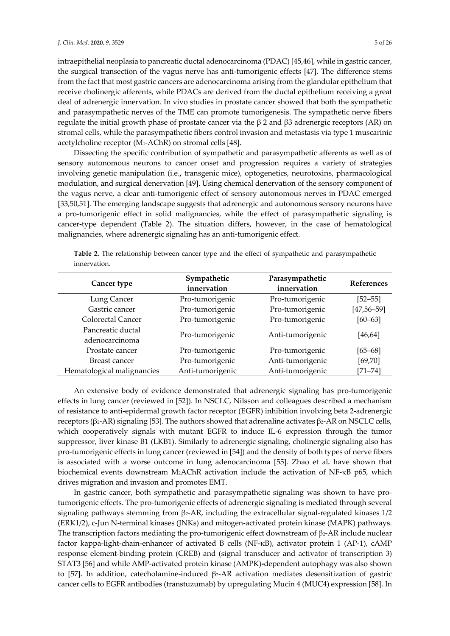intraepithelial neoplasia to pancreatic ductal adenocarcinoma (PDAC) [45,46], while in gastric cancer, the surgical transection of the vagus nerve has anti-tumorigenic effects [47]. The difference stems from the fact that most gastric cancers are adenocarcinoma arising from the glandular epithelium that receive cholinergic afferents, while PDACs are derived from the ductal epithelium receiving a great deal of adrenergic innervation. In vivo studies in prostate cancer showed that both the sympathetic and parasympathetic nerves of the TME can promote tumorigenesis. The sympathetic nerve fibers regulate the initial growth phase of prostate cancer via the β 2 and β3 adrenergic receptors (AR) on stromal cells, while the parasympathetic fibers control invasion and metastasis via type 1 muscarinic acetylcholine receptor (M1-AChR) on stromal cells [48].

Dissecting the specific contribution of sympathetic and parasympathetic afferents as well as of sensory autonomous neurons to cancer onset and progression requires a variety of strategies involving genetic manipulation (i.e.**,** transgenic mice), optogenetics, neurotoxins, pharmacological modulation, and surgical denervation [49]. Using chemical denervation of the sensory component of the vagus nerve, a clear anti-tumorigenic effect of sensory autonomous nerves in PDAC emerged [33,50,51]. The emerging landscape suggests that adrenergic and autonomous sensory neurons have a pro-tumorigenic effect in solid malignancies, while the effect of parasympathetic signaling is cancer-type dependent (Table 2). The situation differs, however, in the case of hematological malignancies, where adrenergic signaling has an anti-tumorigenic effect.

| Cancer type                | Sympathetic<br>innervation | Parasympathetic<br>innervation | <b>References</b> |  |
|----------------------------|----------------------------|--------------------------------|-------------------|--|
| Lung Cancer                | Pro-tumorigenic            | Pro-tumorigenic                | $[52 - 55]$       |  |
| Gastric cancer             | Pro-tumorigenic            | Pro-tumorigenic                | $[47, 56 - 59]$   |  |
| Colorectal Cancer          | Pro-tumorigenic            | Pro-tumorigenic                | $[60 - 63]$       |  |
| Pancreatic ductal          | Pro-tumorigenic            | Anti-tumorigenic               |                   |  |
| adenocarcinoma             |                            |                                | [46, 64]          |  |
| Prostate cancer            | Pro-tumorigenic            | Pro-tumorigenic                | $[65 - 68]$       |  |
| Breast cancer              | Pro-tumorigenic            | Anti-tumorigenic               | [69, 70]          |  |
| Hematological malignancies | Anti-tumorigenic           | Anti-tumorigenic               | $[71 - 74]$       |  |

**Table 2.** The relationship between cancer type and the effect of sympathetic and parasympathetic innervation.

An extensive body of evidence demonstrated that adrenergic signaling has pro-tumorigenic effects in lung cancer (reviewed in [52]). In NSCLC, Nilsson and colleagues described a mechanism of resistance to anti-epidermal growth factor receptor (EGFR) inhibition involving beta 2-adrenergic receptors (β2-AR) signaling [53]. The authors showed that adrenaline activates β2-AR on NSCLC cells, which cooperatively signals with mutant EGFR to induce IL-6 expression through the tumor suppressor, liver kinase B1 (LKB1). Similarly to adrenergic signaling, cholinergic signaling also has pro-tumorigenic effects in lung cancer (reviewed in [54]) and the density of both types of nerve fibers is associated with a worse outcome in lung adenocarcinoma [55]. Zhao et al*.* have shown that biochemical events downstream M2AChR activation include the activation of NF-κB p65, which drives migration and invasion and promotes EMT.

In gastric cancer, both sympathetic and parasympathetic signaling was shown to have protumorigenic effects. The pro-tumorigenic effects of adrenergic signaling is mediated through several signaling pathways stemming from β2-AR, including the extracellular signal-regulated kinases 1/2 (ERK1/2), c-Jun N-terminal kinases (JNKs) and mitogen-activated protein kinase (MAPK) pathways. The transcription factors mediating the pro-tumorigenic effect downstream of  $\beta$ 2-AR include nuclear factor kappa-light-chain-enhancer of activated B cells (NF-κB), activator protein 1 (AP-1), cAMP response element-binding protein (CREB) and (signal transducer and activator of transcription 3) STAT3 [56] and while AMP-activated protein kinase (AMPK)**-**dependent autophagy was also shown to [57]. In addition, catecholamine-induced β2-AR activation mediates desensitization of gastric cancer cells to EGFR antibodies (transtuzumab) by upregulating Mucin 4 (MUC4) expression [58]. In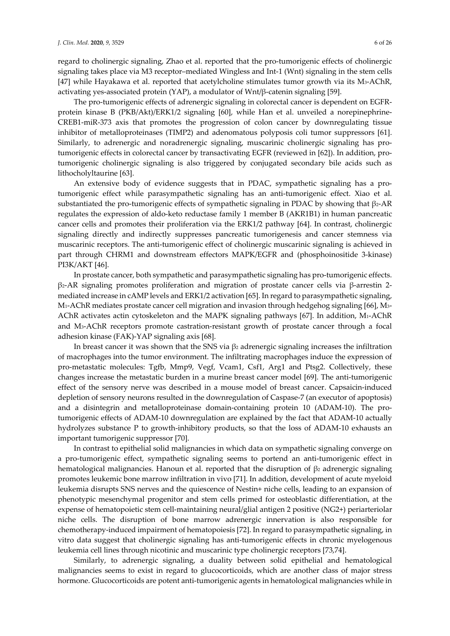regard to cholinergic signaling, Zhao et al. reported that the pro-tumorigenic effects of cholinergic signaling takes place via M3 receptor–mediated Wingless and Int-1 (Wnt) signaling in the stem cells [47] while Hayakawa et al. reported that acetylcholine stimulates tumor growth via its M3-AChR, activating yes-associated protein (YAP), a modulator of Wnt/β-catenin signaling [59].

The pro-tumorigenic effects of adrenergic signaling in colorectal cancer is dependent on EGFRprotein kinase B (PKB/Akt)/ERK1/2 signaling [60], while Han et al. unveiled a norepinephrine-CREB1-miR-373 axis that promotes the progression of colon cancer by downregulating tissue inhibitor of metalloproteinases (TIMP2) and adenomatous polyposis coli tumor suppressors [61]. Similarly, to adrenergic and noradrenergic signaling, muscarinic cholinergic signaling has protumorigenic effects in colorectal cancer by transactivating EGFR (reviewed in [62]). In addition, protumorigenic cholinergic signaling is also triggered by conjugated secondary bile acids such as lithocholyltaurine [63].

An extensive body of evidence suggests that in PDAC, sympathetic signaling has a protumorigenic effect while parasympathetic signaling has an anti-tumorigenic effect. Xiao et al. substantiated the pro-tumorigenic effects of sympathetic signaling in PDAC by showing that β2-AR regulates the expression of aldo-keto reductase family 1 member B (AKR1B1) in human pancreatic cancer cells and promotes their proliferation via the ERK1/2 pathway [64]. In contrast, cholinergic signaling directly and indirectly suppresses pancreatic tumorigenesis and cancer stemness via muscarinic receptors. The anti-tumorigenic effect of cholinergic muscarinic signaling is achieved in part through CHRM1 and downstream effectors MAPK/EGFR and (phosphoinositide 3-kinase) PI3K/AKT [46].

In prostate cancer, both sympathetic and parasympathetic signaling has pro-tumorigenic effects. β2-AR signaling promotes proliferation and migration of prostate cancer cells via β-arrestin 2 mediated increase in cAMP levels and ERK1/2 activation [65]. In regard to parasympathetic signaling, M1-AChR mediates prostate cancer cell migration and invasion through hedgehog signaling [66], M3- AChR activates actin cytoskeleton and the MAPK signaling pathways [67]. In addition, M1-AChR and M3-AChR receptors promote castration-resistant growth of prostate cancer through a focal adhesion kinase (FAK)-YAP signaling axis [68].

In breast cancer it was shown that the SNS via  $\beta_2$  adrenergic signaling increases the infiltration of macrophages into the tumor environment. The infiltrating macrophages induce the expression of pro-metastatic molecules: Tgfb, Mmp9, Vegf, Vcam1, Csf1, Arg1 and Ptsg2. Collectively, these changes increase the metastatic burden in a murine breast cancer model [69]. The anti-tumorigenic effect of the sensory nerve was described in a mouse model of breast cancer. Capsaicin-induced depletion of sensory neurons resulted in the downregulation of Caspase-7 (an executor of apoptosis) and a disintegrin and metalloproteinase domain-containing protein 10 (ADAM-10). The protumorigenic effects of ADAM-10 downregulation are explained by the fact that ADAM-10 actually hydrolyzes substance P to growth-inhibitory products, so that the loss of ADAM-10 exhausts an important tumorigenic suppressor [70].

In contrast to epithelial solid malignancies in which data on sympathetic signaling converge on a pro-tumorigenic effect, sympathetic signaling seems to portend an anti-tumorigenic effect in hematological malignancies. Hanoun et al. reported that the disruption of  $\beta_2$  adrenergic signaling promotes leukemic bone marrow infiltration in vivo [71]. In addition, development of acute myeloid leukemia disrupts SNS nerves and the quiescence of Nestin+ niche cells, leading to an expansion of phenotypic mesenchymal progenitor and stem cells primed for osteoblastic differentiation, at the expense of hematopoietic stem cell-maintaining neural/glial antigen 2 positive (NG2+) periarteriolar niche cells. The disruption of bone marrow adrenergic innervation is also responsible for chemotherapy-induced impairment of hematopoiesis [72]. In regard to parasympathetic signaling, in vitro data suggest that cholinergic signaling has anti-tumorigenic effects in chronic myelogenous leukemia cell lines through nicotinic and muscarinic type cholinergic receptors [73,74].

Similarly, to adrenergic signaling, a duality between solid epithelial and hematological malignancies seems to exist in regard to glucocorticoids, which are another class of major stress hormone. Glucocorticoids are potent anti-tumorigenic agents in hematological malignancies while in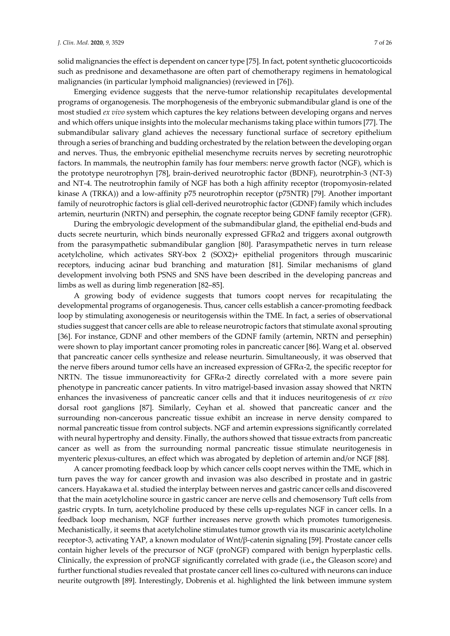solid malignancies the effect is dependent on cancer type [75]. In fact, potent synthetic glucocorticoids such as prednisone and dexamethasone are often part of chemotherapy regimens in hematological malignancies (in particular lymphoid malignancies) (reviewed in [76]).

Emerging evidence suggests that the nerve-tumor relationship recapitulates developmental programs of organogenesis. The morphogenesis of the embryonic submandibular gland is one of the most studied *ex vivo* system which captures the key relations between developing organs and nerves and which offers unique insights into the molecular mechanisms taking place within tumors [77]. The submandibular salivary gland achieves the necessary functional surface of secretory epithelium through a series of branching and budding orchestrated by the relation between the developing organ and nerves. Thus, the embryonic epithelial mesenchyme recruits nerves by secreting neurotrophic factors. In mammals, the neutrophin family has four members: nerve growth factor (NGF), which is the prototype neurotrophyn [78], brain-derived neurotrophic factor (BDNF), neurotrphin-3 (NT-3) and NT-4. The neutrotrophin family of NGF has both a high affinity receptor (tropomyosin-related kinase A (TRKA)) and a low-affinity p75 neurotrophin receptor (p75NTR) [79]. Another important family of neurotrophic factors is glial cell-derived neurotrophic factor (GDNF) family which includes artemin, neurturin (NRTN) and persephin, the cognate receptor being GDNF family receptor (GFR).

During the embryologic development of the submandibular gland, the epithelial end-buds and ducts secrete neurturin, which binds neuronally expressed  $GFR\alpha$ 2 and triggers axonal outgrowth from the parasympathetic submandibular ganglion [80]. Parasympathetic nerves in turn release acetylcholine, which activates SRY-box 2 (SOX2)+ epithelial progenitors through muscarinic receptors, inducing acinar bud branching and maturation [81]. Similar mechanisms of gland development involving both PSNS and SNS have been described in the developing pancreas and limbs as well as during limb regeneration [82–85].

A growing body of evidence suggests that tumors coopt nerves for recapitulating the developmental programs of organogenesis. Thus, cancer cells establish a cancer-promoting feedback loop by stimulating axonogenesis or neuritogensis within the TME. In fact, a series of observational studies suggest that cancer cells are able to release neurotropic factors that stimulate axonal sprouting [36]. For instance, GDNF and other members of the GDNF family (artemin, NRTN and persephin) were shown to play important cancer promoting roles in pancreatic cancer [86]. Wang et al. observed that pancreatic cancer cells synthesize and release neurturin. Simultaneously, it was observed that the nerve fibers around tumor cells have an increased expression of GFRα-2, the specific receptor for NRTN. The tissue immunoreactivity for GFRα-2 directly correlated with a more severe pain phenotype in pancreatic cancer patients. In vitro matrigel-based invasion assay showed that NRTN enhances the invasiveness of pancreatic cancer cells and that it induces neuritogenesis of *ex vivo* dorsal root ganglions [87]. Similarly, Ceyhan et al. showed that pancreatic cancer and the surrounding non-cancerous pancreatic tissue exhibit an increase in nerve density compared to normal pancreatic tissue from control subjects. NGF and artemin expressions significantly correlated with neural hypertrophy and density. Finally, the authors showed that tissue extracts from pancreatic cancer as well as from the surrounding normal pancreatic tissue stimulate neuritogenesis in myenteric plexus-cultures, an effect which was abrogated by depletion of artemin and/or NGF [88].

A cancer promoting feedback loop by which cancer cells coopt nerves within the TME, which in turn paves the way for cancer growth and invasion was also described in prostate and in gastric cancers. Hayakawa et al. studied the interplay between nerves and gastric cancer cells and discovered that the main acetylcholine source in gastric cancer are nerve cells and chemosensory Tuft cells from gastric crypts. In turn, acetylcholine produced by these cells up-regulates NGF in cancer cells. In a feedback loop mechanism, NGF further increases nerve growth which promotes tumorigenesis. Mechanistically, it seems that acetylcholine stimulates tumor growth via its muscarinic acetylcholine receptor-3, activating YAP, a known modulator of Wnt/β-catenin signaling [59]. Prostate cancer cells contain higher levels of the precursor of NGF (proNGF) compared with benign hyperplastic cells. Clinically, the expression of proNGF significantly correlated with grade (i.e.**,** the Gleason score) and further functional studies revealed that prostate cancer cell lines co-cultured with neurons can induce neurite outgrowth [89]. Interestingly, Dobrenis et al. highlighted the link between immune system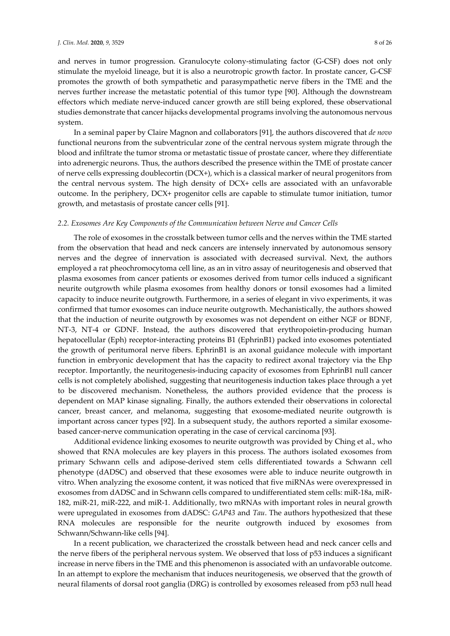and nerves in tumor progression. Granulocyte colony-stimulating factor (G-CSF) does not only stimulate the myeloid lineage, but it is also a neurotropic growth factor. In prostate cancer, G-CSF promotes the growth of both sympathetic and parasympathetic nerve fibers in the TME and the nerves further increase the metastatic potential of this tumor type [90]. Although the downstream effectors which mediate nerve-induced cancer growth are still being explored, these observational studies demonstrate that cancer hijacks developmental programs involving the autonomous nervous system.

In a seminal paper by Claire Magnon and collaborators [91], the authors discovered that *de novo* functional neurons from the subventricular zone of the central nervous system migrate through the blood and infiltrate the tumor stroma or metastatic tissue of prostate cancer, where they differentiate into adrenergic neurons. Thus, the authors described the presence within the TME of prostate cancer of nerve cells expressing doublecortin (DCX+), which is a classical marker of neural progenitors from the central nervous system. The high density of DCX+ cells are associated with an unfavorable outcome. In the periphery, DCX+ progenitor cells are capable to stimulate tumor initiation, tumor growth, and metastasis of prostate cancer cells [91].

#### *2.2. Exosomes Are Key Components of the Communication between Nerve and Cancer Cells*

The role of exosomes in the crosstalk between tumor cells and the nerves within the TME started from the observation that head and neck cancers are intensely innervated by autonomous sensory nerves and the degree of innervation is associated with decreased survival. Next, the authors employed a rat pheochromocytoma cell line, as an in vitro assay of neuritogenesis and observed that plasma exosomes from cancer patients or exosomes derived from tumor cells induced a significant neurite outgrowth while plasma exosomes from healthy donors or tonsil exosomes had a limited capacity to induce neurite outgrowth. Furthermore, in a series of elegant in vivo experiments, it was confirmed that tumor exosomes can induce neurite outgrowth. Mechanistically, the authors showed that the induction of neurite outgrowth by exosomes was not dependent on either NGF or BDNF, NT-3, NT-4 or GDNF. Instead, the authors discovered that erythropoietin-producing human hepatocellular (Eph) receptor-interacting proteins B1 (EphrinB1) packed into exosomes potentiated the growth of peritumoral nerve fibers. EphrinB1 is an axonal guidance molecule with important function in embryonic development that has the capacity to redirect axonal trajectory via the Ehp receptor. Importantly, the neuritogenesis-inducing capacity of exosomes from EphrinB1 null cancer cells is not completely abolished, suggesting that neuritogenesis induction takes place through a yet to be discovered mechanism. Nonetheless, the authors provided evidence that the process is dependent on MAP kinase signaling. Finally, the authors extended their observations in colorectal cancer, breast cancer, and melanoma, suggesting that exosome-mediated neurite outgrowth is important across cancer types [92]. In a subsequent study, the authors reported a similar exosomebased cancer-nerve communication operating in the case of cervical carcinoma [93].

Additional evidence linking exosomes to neurite outgrowth was provided by Ching et al., who showed that RNA molecules are key players in this process. The authors isolated exosomes from primary Schwann cells and adipose-derived stem cells differentiated towards a Schwann cell phenotype (dADSC) and observed that these exosomes were able to induce neurite outgrowth in vitro. When analyzing the exosome content, it was noticed that five miRNAs were overexpressed in exosomes from dADSC and in Schwann cells compared to undifferentiated stem cells: miR-18a, miR-182, miR-21, miR-222, and miR-1. Additionally, two mRNAs with important roles in neural growth were upregulated in exosomes from dADSC: *GAP43* and *Tau*. The authors hypothesized that these RNA molecules are responsible for the neurite outgrowth induced by exosomes from Schwann/Schwann-like cells [94].

In a recent publication, we characterized the crosstalk between head and neck cancer cells and the nerve fibers of the peripheral nervous system. We observed that loss of p53 induces a significant increase in nerve fibers in the TME and this phenomenon is associated with an unfavorable outcome. In an attempt to explore the mechanism that induces neuritogenesis, we observed that the growth of neural filaments of dorsal root ganglia (DRG) is controlled by exosomes released from p53 null head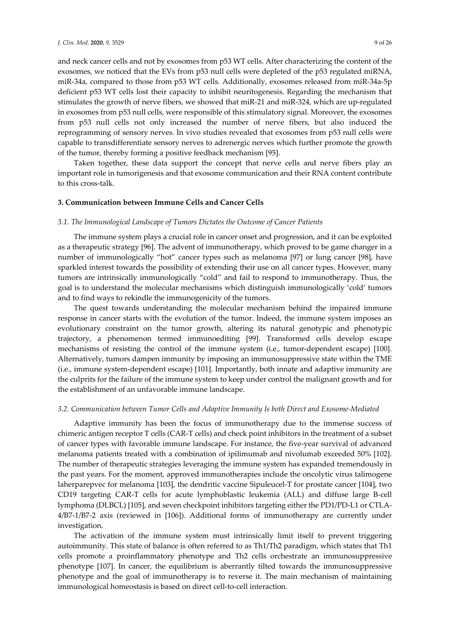and neck cancer cells and not by exosomes from p53 WT cells. After characterizing the content of the exosomes, we noticed that the EVs from p53 null cells were depleted of the p53 regulated miRNA, miR-34a, compared to those from p53 WT cells. Additionally, exosomes released from miR-34a-5p deficient p53 WT cells lost their capacity to inhibit neuritogenesis. Regarding the mechanism that stimulates the growth of nerve fibers, we showed that miR-21 and miR-324, which are up-regulated in exosomes from p53 null cells, were responsible of this stimulatory signal. Moreover, the exosomes from p53 null cells not only increased the number of nerve fibers, but also induced the reprogramming of sensory nerves. In vivo studies revealed that exosomes from p53 null cells were capable to transdifferentiate sensory nerves to adrenergic nerves which further promote the growth of the tumor, thereby forming a positive feedback mechanism [95].

Taken together, these data support the concept that nerve cells and nerve fibers play an important role in tumorigenesis and that exosome communication and their RNA content contribute to this cross-talk.

#### **3. Communication between Immune Cells and Cancer Cells**

#### *3.1. The Immunological Landscape of Tumors Dictates the Outcome of Cancer Patients*

The immune system plays a crucial role in cancer onset and progression, and it can be exploited as a therapeutic strategy [96]. The advent of immunotherapy, which proved to be game changer in a number of immunologically "hot" cancer types such as melanoma [97] or lung cancer [98], have sparkled interest towards the possibility of extending their use on all cancer types. However, many tumors are intrinsically immunologically "cold" and fail to respond to immunotherapy. Thus, the goal is to understand the molecular mechanisms which distinguish immunologically 'cold' tumors and to find ways to rekindle the immunogenicity of the tumors.

The quest towards understanding the molecular mechanism behind the impaired immune response in cancer starts with the evolution of the tumor. Indeed, the immune system imposes an evolutionary constraint on the tumor growth, altering its natural genotypic and phenotypic trajectory, a phenomenon termed immunoediting [99]. Transformed cells develop escape mechanisms of resisting the control of the immune system (i.e.*,* tumor-dependent escape) [100]. Alternatively, tumors dampen immunity by imposing an immunosuppressive state within the TME (i.e.*,* immune system-dependent escape) [101]. Importantly, both innate and adaptive immunity are the culprits for the failure of the immune system to keep under control the malignant growth and for the establishment of an unfavorable immune landscape.

#### *3.2. Communication between Tumor Cells and Adaptive Immunity Is both Direct and Exosome-Mediated*

Adaptive immunity has been the focus of immunotherapy due to the immense success of chimeric antigen receptor T cells (CAR-T cells) and check point inhibitors in the treatment of a subset of cancer types with favorable immune landscape. For instance, the five-year survival of advanced melanoma patients treated with a combination of ipilimumab and nivolumab exceeded 50% [102]. The number of therapeutic strategies leveraging the immune system has expanded tremendously in the past years. For the moment, approved immunotherapies include the oncolytic virus talimogene laherparepvec for melanoma [103], the dendritic vaccine Sipuleucel-T for prostate cancer [104], two CD19 targeting CAR-T cells for acute lymphoblastic leukemia (ALL) and diffuse large B-cell lymphoma (DLBCL) [105], and seven checkpoint inhibitors targeting either the PD1/PD-L1 or CTLA-4/B7-1/B7-2 axis (reviewed in [106]). Additional forms of immunotherapy are currently under investigation.

The activation of the immune system must intrinsically limit itself to prevent triggering autoimmunity. This state of balance is often referred to as Th1/Th2 paradigm, which states that Th1 cells promote a proinflammatory phenotype and Th2 cells orchestrate an immunosuppressive phenotype [107]. In cancer, the equilibrium is aberrantly tilted towards the immunosuppressive phenotype and the goal of immunotherapy is to reverse it. The main mechanism of maintaining immunological homeostasis is based on direct cell-to-cell interaction.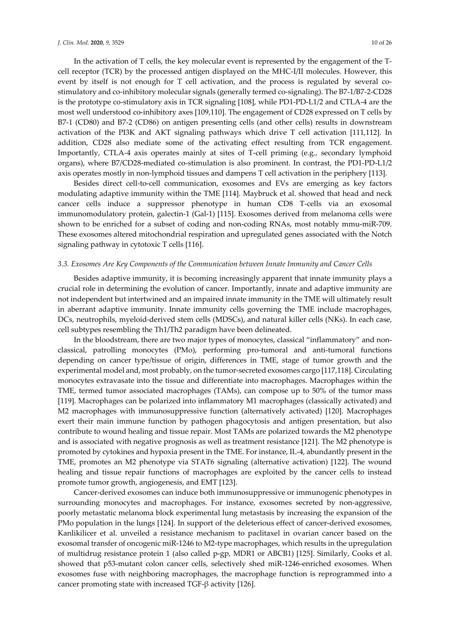In the activation of T cells, the key molecular event is represented by the engagement of the Tcell receptor (TCR) by the processed antigen displayed on the MHC-I/II molecules. However, this event by itself is not enough for T cell activation, and the process is regulated by several costimulatory and co-inhibitory molecular signals (generally termed co-signaling). The B7-1/B7-2-CD28 is the prototype co-stimulatory axis in TCR signaling [108], while PD1-PD-L1/2 and CTLA-4 are the most well understood co-inhibitory axes [109,110]. The engagement of CD28 expressed on T cells by B7-1 (CD80) and B7-2 (CD86) on antigen presenting cells (and other cells) results in downstream activation of the PI3K and AKT signaling pathways which drive T cell activation [111,112]. In

addition, CD28 also mediate some of the activating effect resulting from TCR engagement. Importantly, CTLA-4 axis operates mainly at sites of T-cell priming (e.g., secondary lymphoid organs), where B7/CD28-mediated co-stimulation is also prominent. In contrast, the PD1-PD-L1/2 axis operates mostly in non-lymphoid tissues and dampens T cell activation in the periphery [113].

Besides direct cell-to-cell communication, exosomes and EVs are emerging as key factors modulating adaptive immunity within the TME [114]. Maybruck et al. showed that head and neck cancer cells induce a suppressor phenotype in human CD8 T-cells via an exosomal immunomodulatory protein, galectin-1 (Gal-1) [115]. Exosomes derived from melanoma cells were shown to be enriched for a subset of coding and non-coding RNAs, most notably mmu-miR-709. These exosomes altered mitochondrial respiration and upregulated genes associated with the Notch signaling pathway in cytotoxic T cells [116].

#### *3.3. Exosomes Are Key Components of the Communication between Innate Immunity and Cancer Cells*

Besides adaptive immunity, it is becoming increasingly apparent that innate immunity plays a crucial role in determining the evolution of cancer. Importantly, innate and adaptive immunity are not independent but intertwined and an impaired innate immunity in the TME will ultimately result in aberrant adaptive immunity. Innate immunity cells governing the TME include macrophages, DCs, neutrophils, myeloid-derived stem cells (MDSCs), and natural killer cells (NKs). In each case, cell subtypes resembling the Th1/Th2 paradigm have been delineated.

In the bloodstream, there are two major types of monocytes, classical "inflammatory" and nonclassical, patrolling monocytes (PMo), performing pro-tumoral and anti-tumoral functions depending on cancer type/tissue of origin, differences in TME, stage of tumor growth and the experimental model and, most probably, on the tumor-secreted exosomes cargo [117,118]. Circulating monocytes extravasate into the tissue and differentiate into macrophages. Macrophages within the TME, termed tumor associated macrophages (TAMs), can compose up to 50% of the tumor mass [119]. Macrophages can be polarized into inflammatory M1 macrophages (classically activated) and M2 macrophages with immunosuppressive function (alternatively activated) [120]. Macrophages exert their main immune function by pathogen phagocytosis and antigen presentation, but also contribute to wound healing and tissue repair. Most TAMs are polarized towards the M2 phenotype and is associated with negative prognosis as well as treatment resistance [121]. The M2 phenotype is promoted by cytokines and hypoxia present in the TME. For instance, IL-4, abundantly present in the TME, promotes an M2 phenotype via STAT6 signaling (alternative activation) [122]. The wound healing and tissue repair functions of macrophages are exploited by the cancer cells to instead promote tumor growth, angiogenesis, and EMT [123].

Cancer-derived exosomes can induce both immunosuppressive or immunogenic phenotypes in surrounding monocytes and macrophages. For instance, exosomes secreted by non-aggressive, poorly metastatic melanoma block experimental lung metastasis by increasing the expansion of the PMo population in the lungs [124]. In support of the deleterious effect of cancer-derived exosomes, Kanlikilicer et al. unveiled a resistance mechanism to paclitaxel in ovarian cancer based on the exosomal transfer of oncogenic miR-1246 to M2-type macrophages, which results in the upregulation of multidrug resistance protein 1 (also called p-gp, MDR1 or ABCB1) [125]. Similarly, Cooks et al. showed that p53-mutant colon cancer cells, selectively shed miR-1246-enriched exosomes. When exosomes fuse with neighboring macrophages, the macrophage function is reprogrammed into a cancer promoting state with increased TGF-β activity [126].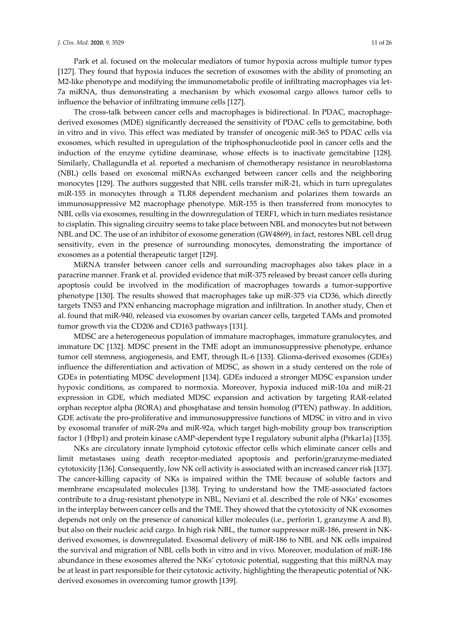Park et al. focused on the molecular mediators of tumor hypoxia across multiple tumor types [127]. They found that hypoxia induces the secretion of exosomes with the ability of promoting an M2-like phenotype and modifying the immunometabolic profile of infiltrating macrophages via let-7a miRNA, thus demonstrating a mechanism by which exosomal cargo allows tumor cells to influence the behavior of infiltrating immune cells [127].

The cross-talk between cancer cells and macrophages is bidirectional. In PDAC, macrophagederived exosomes (MDE) significantly decreased the sensitivity of PDAC cells to gemcitabine, both in vitro and in vivo. This effect was mediated by transfer of oncogenic miR-365 to PDAC cells via exosomes, which resulted in upregulation of the triphosphonucleotide pool in cancer cells and the induction of the enzyme cytidine deaminase, whose effects is to inactivate gemcitabine [128]. Similarly, Challagundla et al. reported a mechanism of chemotherapy resistance in neuroblastoma (NBL) cells based on exosomal miRNAs exchanged between cancer cells and the neighboring monocytes [129]. The authors suggested that NBL cells transfer miR-21, which in turn upregulates miR-155 in monocytes through a TLR8 dependent mechanism and polarizes them towards an immunosuppressive M2 macrophage phenotype. MiR-155 is then transferred from monocytes to NBL cells via exosomes, resulting in the downregulation of TERF1, which in turn mediates resistance to cisplatin. This signaling circuitry seems to take place between NBL and monocytes but not between NBL and DC. The use of an inhibitor of exosome generation (GW4869), in fact, restores NBL cell drug sensitivity, even in the presence of surrounding monocytes, demonstrating the importance of exosomes as a potential therapeutic target [129].

MiRNA transfer between cancer cells and surrounding macrophages also takes place in a paracrine manner. Frank et al. provided evidence that miR-375 released by breast cancer cells during apoptosis could be involved in the modification of macrophages towards a tumor-supportive phenotype [130]. The results showed that macrophages take up miR-375 via CD36, which directly targets TNS3 and PXN enhancing macrophage migration and infiltration. In another study, Chen et al. found that miR-940, released via exosomes by ovarian cancer cells, targeted TAMs and promoted tumor growth via the CD206 and CD163 pathways [131].

MDSC are a heterogeneous population of immature macrophages, immature granulocytes, and immature DC [132]. MDSC present in the TME adopt an immunosuppressive phenotype, enhance tumor cell stemness, angiogenesis, and EMT, through IL-6 [133]. Glioma-derived exosomes (GDEs) influence the differentiation and activation of MDSC, as shown in a study centered on the role of GDEs in potentiating MDSC development [134]. GDEs induced a stronger MDSC expansion under hypoxic conditions, as compared to normoxia. Moreover, hypoxia induced miR-10a and miR-21 expression in GDE, which mediated MDSC expansion and activation by targeting RAR-related orphan receptor alpha (RORA) and phosphatase and tensin homolog (PTEN) pathway. In addition, GDE activate the pro-proliferative and immunosuppressive functions of MDSC in vitro and in vivo by exosomal transfer of miR-29a and miR-92a, which target high-mobility group box transcription factor 1 (Hbp1) and protein kinase cAMP-dependent type I regulatory subunit alpha (Prkar1a) [135].

NKs are circulatory innate lymphoid cytotoxic effector cells which eliminate cancer cells and limit metastases using death receptor-mediated apoptosis and perforin/granzyme-mediated cytotoxicity [136]. Consequently, low NK cell activity is associated with an increased cancer risk [137]. The cancer-killing capacity of NKs is impaired within the TME because of soluble factors and membrane encapsulated molecules [138]. Trying to understand how the TME-associated factors contribute to a drug-resistant phenotype in NBL, Neviani et al. described the role of NKs' exosomes in the interplay between cancer cells and the TME. They showed that the cytotoxicity of NK exosomes depends not only on the presence of canonical killer molecules (i.e.*,* perforin 1, granzyme A and B), but also on their nucleic acid cargo. In high risk NBL, the tumor suppressor miR-186, present in NKderived exosomes, is downregulated. Exosomal delivery of miR-186 to NBL and NK cells impaired the survival and migration of NBL cells both in vitro and in vivo. Moreover, modulation of miR-186 abundance in these exosomes altered the NKs' cytotoxic potential, suggesting that this miRNA may be at least in part responsible for their cytotoxic activity, highlighting the therapeutic potential of NKderived exosomes in overcoming tumor growth [139].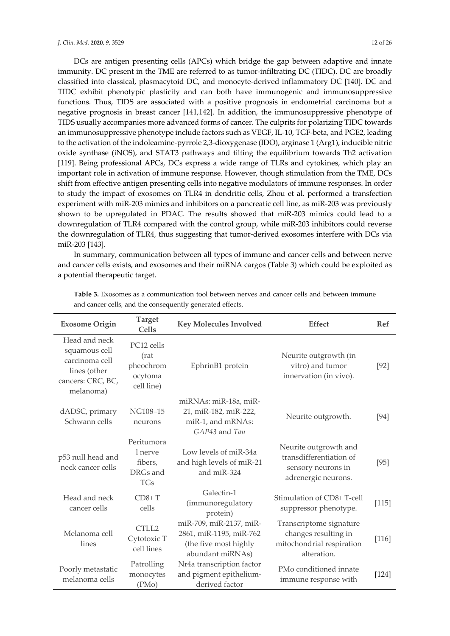DCs are antigen presenting cells (APCs) which bridge the gap between adaptive and innate immunity. DC present in the TME are referred to as tumor-infiltrating DC (TIDC). DC are broadly classified into classical, plasmacytoid DC, and monocyte-derived inflammatory DC [140]. DC and TIDC exhibit phenotypic plasticity and can both have immunogenic and immunosuppressive functions. Thus, TIDS are associated with a positive prognosis in endometrial carcinoma but a negative prognosis in breast cancer [141,142]. In addition, the immunosuppressive phenotype of TIDS usually accompanies more advanced forms of cancer. The culprits for polarizing TIDC towards an immunosuppressive phenotype include factors such as VEGF, IL-10, TGF-beta, and PGE2, leading to the activation of the indoleamine-pyrrole 2,3-dioxygenase (IDO), arginase 1 (Arg1), inducible nitric oxide synthase (iNOS), and STAT3 pathways and tilting the equilibrium towards Th2 activation [119]. Being professional APCs, DCs express a wide range of TLRs and cytokines, which play an important role in activation of immune response. However, though stimulation from the TME, DCs shift from effective antigen presenting cells into negative modulators of immune responses. In order to study the impact of exosomes on TLR4 in dendritic cells, Zhou et al. performed a transfection experiment with miR-203 mimics and inhibitors on a pancreatic cell line, as miR-203 was previously shown to be upregulated in PDAC. The results showed that miR-203 mimics could lead to a downregulation of TLR4 compared with the control group, while miR-203 inhibitors could reverse the downregulation of TLR4, thus suggesting that tumor-derived exosomes interfere with DCs via miR-203 [143].

In summary, communication between all types of immune and cancer cells and between nerve and cancer cells exists, and exosomes and their miRNA cargos (Table 3) which could be exploited as a potential therapeutic target.

| <b>Exosome Origin</b>                                                                              | <b>Target</b><br><b>Cells</b>                              | <b>Key Molecules Involved</b>                                                                   | <b>Effect</b>                                                                                 | <b>Ref</b> |
|----------------------------------------------------------------------------------------------------|------------------------------------------------------------|-------------------------------------------------------------------------------------------------|-----------------------------------------------------------------------------------------------|------------|
| Head and neck<br>squamous cell<br>carcinoma cell<br>lines (other<br>cancers: CRC, BC,<br>melanoma) | PC12 cells<br>(rat<br>pheochrom<br>ocytoma<br>cell line)   | EphrinB1 protein                                                                                | Neurite outgrowth (in<br>vitro) and tumor<br>innervation (in vivo).                           | $[92]$     |
| dADSC, primary<br>Schwann cells                                                                    | NG108-15<br>neurons                                        | miRNAs: miR-18a, miR-<br>21, miR-182, miR-222,<br>miR-1, and mRNAs:<br>GAP43 and Tau            | Neurite outgrowth.                                                                            | [94]       |
| p53 null head and<br>neck cancer cells                                                             | Peritumora<br>l nerve<br>fibers,<br>DRGs and<br><b>TGs</b> | Low levels of miR-34a<br>and high levels of miR-21<br>and miR-324                               | Neurite outgrowth and<br>transdifferentiation of<br>sensory neurons in<br>adrenergic neurons. | $[95]$     |
| Head and neck<br>cancer cells                                                                      | $CD8+T$<br>cells                                           | Galectin-1<br><i>(immunoregulatory</i><br>protein)                                              | Stimulation of CD8+T-cell<br>suppressor phenotype.                                            | $[115]$    |
| Melanoma cell<br>lines                                                                             | CTLL2<br>Cytotoxic T<br>cell lines                         | miR-709, miR-2137, miR-<br>2861, miR-1195, miR-762<br>(the five most highly<br>abundant miRNAs) | Transcriptome signature<br>changes resulting in<br>mitochondrial respiration<br>alteration.   | $[116]$    |
| Poorly metastatic<br>melanoma cells                                                                | Patrolling<br>monocytes<br>(PMo)                           | Nr4a transcription factor<br>and pigment epithelium-<br>derived factor                          | PMo conditioned innate<br>immune response with                                                | $[124]$    |

**Table 3.** Exosomes as a communication tool between nerves and cancer cells and between immune and cancer cells, and the consequently generated effects.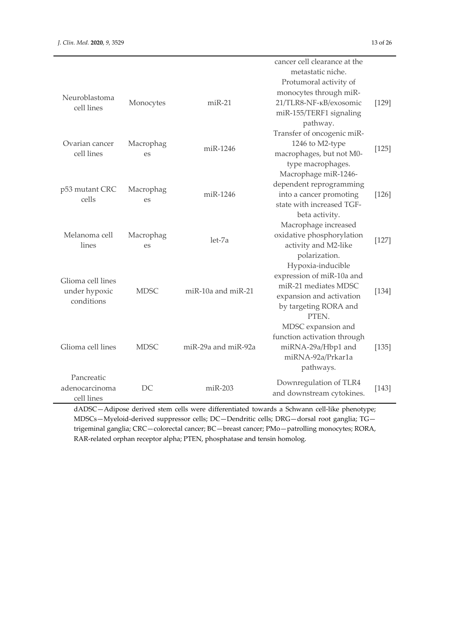|                              |                 |                     | cancer cell clearance at the<br>metastatic niche. |       |
|------------------------------|-----------------|---------------------|---------------------------------------------------|-------|
|                              |                 |                     | Protumoral activity of                            |       |
|                              |                 |                     | monocytes through miR-                            |       |
| Neuroblastoma<br>cell lines  | Monocytes       | $miR-21$            | 21/TLR8-NF-KB/exosomic                            | [129] |
|                              |                 |                     | miR-155/TERF1 signaling                           |       |
|                              |                 |                     | pathway.                                          |       |
|                              |                 |                     | Transfer of oncogenic miR-                        |       |
| Ovarian cancer<br>cell lines | Macrophag<br>es | miR-1246            | 1246 to M2-type                                   | [125] |
|                              |                 |                     | macrophages, but not M0-                          |       |
|                              |                 |                     | type macrophages.                                 |       |
| p53 mutant CRC               |                 |                     | Macrophage miR-1246-                              |       |
|                              | Macrophag       |                     | dependent reprogramming                           |       |
| cells                        | es              | miR-1246            | into a cancer promoting                           | [126] |
|                              |                 |                     | state with increased TGF-                         |       |
|                              |                 |                     | beta activity.                                    |       |
|                              |                 |                     | Macrophage increased                              |       |
| Melanoma cell                | Macrophag       | let-7a              | oxidative phosphorylation                         | [127] |
| lines                        | es              |                     | activity and M2-like                              |       |
|                              |                 |                     | polarization.                                     |       |
|                              |                 |                     | Hypoxia-inducible                                 |       |
| Glioma cell lines            |                 |                     | expression of miR-10a and                         |       |
| under hypoxic                | <b>MDSC</b>     | miR-10a and miR-21  | miR-21 mediates MDSC                              | [134] |
| conditions                   |                 |                     | expansion and activation                          |       |
|                              |                 |                     | by targeting RORA and                             |       |
|                              |                 |                     | PTEN.                                             |       |
|                              |                 |                     | MDSC expansion and                                |       |
| Glioma cell lines            | <b>MDSC</b>     | miR-29a and miR-92a | function activation through<br>miRNA-29a/Hbp1 and | [135] |
|                              |                 |                     | miRNA-92a/Prkar1a                                 |       |
|                              |                 |                     | pathways.                                         |       |
| Pancreatic                   |                 |                     |                                                   |       |
| adenocarcinoma               | DC              | $miR-203$           | Downregulation of TLR4                            | [143] |
| cell lines                   |                 |                     | and downstream cytokines.                         |       |
|                              |                 |                     |                                                   |       |

dADSC—Adipose derived stem cells were differentiated towards a Schwann cell-like phenotype; MDSCs—Myeloid-derived suppressor cells; DC—Dendritic cells; DRG—dorsal root ganglia; TG trigeminal ganglia; CRC—colorectal cancer; BC—breast cancer; PMo—patrolling monocytes; RORA, RAR-related orphan receptor alpha; PTEN, phosphatase and tensin homolog.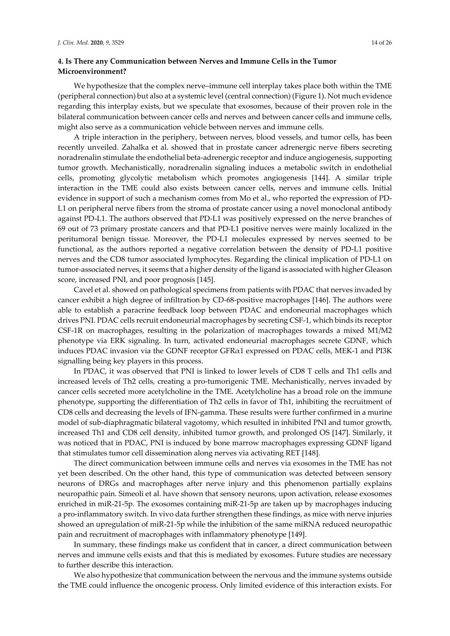## **4. Is There any Communication between Nerves and Immune Cells in the Tumor Microenvironment?**

We hypothesize that the complex nerve–immune cell interplay takes place both within the TME (peripheral connection) but also at a systemic level (central connection) (Figure 1). Not much evidence regarding this interplay exists, but we speculate that exosomes, because of their proven role in the bilateral communication between cancer cells and nerves and between cancer cells and immune cells, might also serve as a communication vehicle between nerves and immune cells.

A triple interaction in the periphery, between nerves, blood vessels, and tumor cells, has been recently unveiled. Zahalka et al. showed that in prostate cancer adrenergic nerve fibers secreting noradrenalin stimulate the endothelial beta-adrenergic receptor and induce angiogenesis, supporting tumor growth. Mechanistically, noradrenalin signaling induces a metabolic switch in endothelial cells, promoting glycolytic metabolism which promotes angiogenesis [144]. A similar triple interaction in the TME could also exists between cancer cells, nerves and immune cells. Initial evidence in support of such a mechanism comes from Mo et al., who reported the expression of PD-L1 on peripheral nerve fibers from the stroma of prostate cancer using a novel monoclonal antibody against PD-L1. The authors observed that PD-L1 was positively expressed on the nerve branches of 69 out of 73 primary prostate cancers and that PD-L1 positive nerves were mainly localized in the peritumoral benign tissue. Moreover, the PD-L1 molecules expressed by nerves seemed to be functional, as the authors reported a negative correlation between the density of PD-L1 positive nerves and the CD8 tumor associated lymphocytes. Regarding the clinical implication of PD-L1 on tumor-associated nerves, it seems that a higher density of the ligand is associated with higher Gleason score, increased PNI, and poor prognosis [145].

Cavel et al. showed on pathological specimens from patients with PDAC that nerves invaded by cancer exhibit a high degree of infiltration by CD-68-positive macrophages [146]. The authors were able to establish a paracrine feedback loop between PDAC and endoneurial macrophages which drives PNI. PDAC cells recruit endoneurial macrophages by secreting CSF-1, which binds its receptor CSF-1R on macrophages, resulting in the polarization of macrophages towards a mixed M1/M2 phenotype via ERK signaling. In turn, activated endoneurial macrophages secrete GDNF, which induces PDAC invasion via the GDNF receptor GFRα1 expressed on PDAC cells, MEK-1 and PI3K signalling being key players in this process.

In PDAC, it was observed that PNI is linked to lower levels of CD8 T cells and Th1 cells and increased levels of Th2 cells, creating a pro-tumorigenic TME. Mechanistically, nerves invaded by cancer cells secreted more acetylcholine in the TME. Acetylcholine has a broad role on the immune phenotype, supporting the differentiation of Th2 cells in favor of Th1, inhibiting the recruitment of CD8 cells and decreasing the levels of IFN-gamma. These results were further confirmed in a murine model of sub-diaphragmatic bilateral vagotomy, which resulted in inhibited PNI and tumor growth, increased Th1 and CD8 cell density, inhibited tumor growth, and prolonged OS [147]. Similarly, it was noticed that in PDAC, PNI is induced by bone marrow macrophages expressing GDNF ligand that stimulates tumor cell dissemination along nerves via activating RET [148].

The direct communication between immune cells and nerves via exosomes in the TME has not yet been described. On the other hand, this type of communication was detected between sensory neurons of DRGs and macrophages after nerve injury and this phenomenon partially explains neuropathic pain. Simeoli et al. have shown that sensory neurons, upon activation, release exosomes enriched in miR-21-5p. The exosomes containing miR-21-5p are taken up by macrophages inducing a pro-inflammatory switch. In vivo data further strengthen these findings, as mice with nerve injuries showed an upregulation of miR-21-5p while the inhibition of the same miRNA reduced neuropathic pain and recruitment of macrophages with inflammatory phenotype [149].

In summary, these findings make us confident that in cancer, a direct communication between nerves and immune cells exists and that this is mediated by exosomes. Future studies are necessary to further describe this interaction.

We also hypothesize that communication between the nervous and the immune systems outside the TME could influence the oncogenic process. Only limited evidence of this interaction exists. For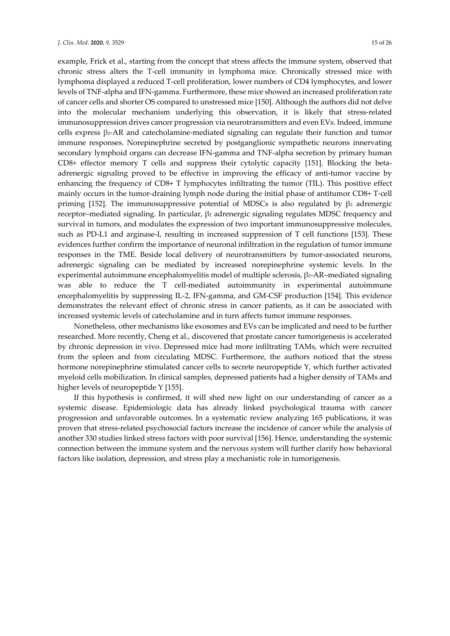example, Frick et al., starting from the concept that stress affects the immune system, observed that chronic stress alters the T-cell immunity in lymphoma mice. Chronically stressed mice with lymphoma displayed a reduced T-cell proliferation, lower numbers of CD4 lymphocytes, and lower levels of TNF-alpha and IFN-gamma. Furthermore, these mice showed an increased proliferation rate of cancer cells and shorter OS compared to unstressed mice [150]. Although the authors did not delve into the molecular mechanism underlying this observation, it is likely that stress-related immunosuppression drives cancer progression via neurotransmitters and even EVs. Indeed, immune cells express β2-AR and catecholamine-mediated signaling can regulate their function and tumor immune responses. Norepinephrine secreted by postganglionic sympathetic neurons innervating secondary lymphoid organs can decrease IFN-gamma and TNF-alpha secretion by primary human CD8+ effector memory T cells and suppress their cytolytic capacity [151]. Blocking the betaadrenergic signaling proved to be effective in improving the efficacy of anti-tumor vaccine by enhancing the frequency of CD8+ T lymphocytes infiltrating the tumor (TIL). This positive effect mainly occurs in the tumor-draining lymph node during the initial phase of antitumor CD8+ T-cell priming [152]. The immunosuppressive potential of MDSCs is also regulated by  $β<sub>2</sub>$  adrenergic receptor-mediated signaling. In particular, β2 adrenergic signaling regulates MDSC frequency and survival in tumors, and modulates the expression of two important immunosuppressive molecules, such as PD-L1 and arginase-I, resulting in increased suppression of T cell functions [153]. These evidences further confirm the importance of neuronal infiltration in the regulation of tumor immune responses in the TME. Beside local delivery of neurotransmitters by tumor-associated neurons, adrenergic signaling can be mediated by increased norepinephrine systemic levels. In the experimental autoimmune encephalomyelitis model of multiple sclerosis, β2-AR–mediated signaling was able to reduce the T cell-mediated autoimmunity in experimental autoimmune encephalomyelitis by suppressing IL-2, IFN-gamma, and GM-CSF production [154]. This evidence demonstrates the relevant effect of chronic stress in cancer patients, as it can be associated with increased systemic levels of catecholamine and in turn affects tumor immune responses.

Nonetheless, other mechanisms like exosomes and EVs can be implicated and need to be further researched. More recently, Cheng et al., discovered that prostate cancer tumorigenesis is accelerated by chronic depression in vivo. Depressed mice had more infiltrating TAMs, which were recruited from the spleen and from circulating MDSC. Furthermore, the authors noticed that the stress hormone norepinephrine stimulated cancer cells to secrete neuropeptide Y, which further activated myeloid cells mobilization. In clinical samples, depressed patients had a higher density of TAMs and higher levels of neuropeptide Y [155].

If this hypothesis is confirmed, it will shed new light on our understanding of cancer as a systemic disease. Epidemiologic data has already linked psychological trauma with cancer progression and unfavorable outcomes. In a systematic review analyzing 165 publications, it was proven that stress-related psychosocial factors increase the incidence of cancer while the analysis of another 330 studies linked stress factors with poor survival [156]. Hence, understanding the systemic connection between the immune system and the nervous system will further clarify how behavioral factors like isolation, depression, and stress play a mechanistic role in tumorigenesis.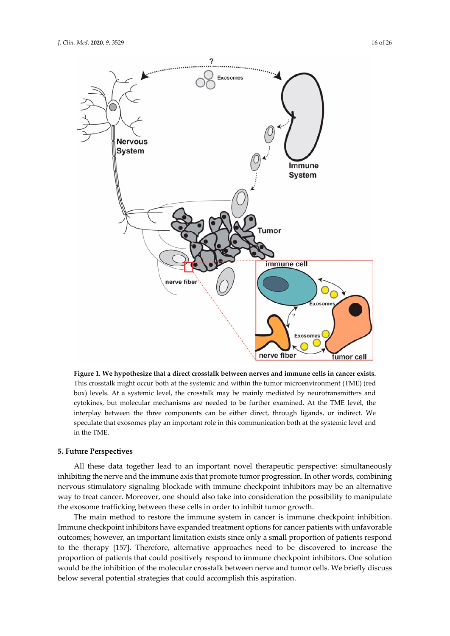

**Figure 1***.* **We hypothesize that a direct crosstalk between nerves and immune cells in cancer exists.** This crosstalk might occur both at the systemic and within the tumor microenvironment (TME) (red box) levels. At a systemic level, the crosstalk may be mainly mediated by neurotransmitters and cytokines, but molecular mechanisms are needed to be further examined. At the TME level, the interplay between the three components can be either direct, through ligands, or indirect. We speculate that exosomes play an important role in this communication both at the systemic level and in the TME.

#### **5. Future Perspectives**

All these data together lead to an important novel therapeutic perspective: simultaneously inhibiting the nerve and the immune axis that promote tumor progression. In other words, combining nervous stimulatory signaling blockade with immune checkpoint inhibitors may be an alternative way to treat cancer. Moreover, one should also take into consideration the possibility to manipulate the exosome trafficking between these cells in order to inhibit tumor growth.

The main method to restore the immune system in cancer is immune checkpoint inhibition. Immune checkpoint inhibitors have expanded treatment options for cancer patients with unfavorable outcomes; however, an important limitation exists since only a small proportion of patients respond to the therapy [157]. Therefore, alternative approaches need to be discovered to increase the proportion of patients that could positively respond to immune checkpoint inhibitors. One solution would be the inhibition of the molecular crosstalk between nerve and tumor cells. We briefly discuss below several potential strategies that could accomplish this aspiration.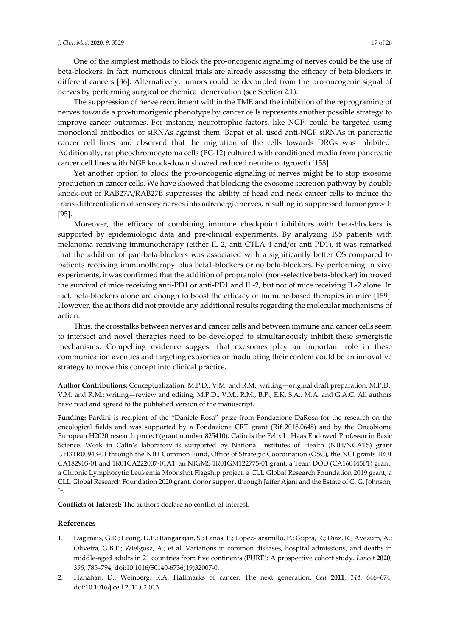One of the simplest methods to block the pro-oncogenic signaling of nerves could be the use of beta-blockers. In fact, numerous clinical trials are already assessing the efficacy of beta-blockers in different cancers [36]. Alternatively, tumors could be decoupled from the pro-oncogenic signal of nerves by performing surgical or chemical denervation (see Section 2.1).

The suppression of nerve recruitment within the TME and the inhibition of the reprograming of nerves towards a pro-tumorigenic phenotype by cancer cells represents another possible strategy to improve cancer outcomes. For instance, neurotrophic factors, like NGF, could be targeted using monoclonal antibodies or siRNAs against them. Bapat et al. used anti-NGF siRNAs in pancreatic cancer cell lines and observed that the migration of the cells towards DRGs was inhibited. Additionally, rat pheochromocytoma cells (PC-12) cultured with conditioned media from pancreatic cancer cell lines with NGF knock-down showed reduced neurite outgrowth [158].

Yet another option to block the pro-oncogenic signaling of nerves might be to stop exosome production in cancer cells. We have showed that blocking the exosome secretion pathway by double knock-out of RAB27A/RAB27B suppresses the ability of head and neck cancer cells to induce the trans-differentiation of sensory nerves into adrenergic nerves, resulting in suppressed tumor growth [95].

Moreover, the efficacy of combining immune checkpoint inhibitors with beta-blockers is supported by epidemiologic data and pre-clinical experiments. By analyzing 195 patients with melanoma receiving immunotherapy (either IL-2, anti-CTLA-4 and/or anti-PD1), it was remarked that the addition of pan-beta-blockers was associated with a significantly better OS compared to patients receiving immunotherapy plus beta1-blockers or no beta-blockers. By performing in vivo experiments, it was confirmed that the addition of propranolol (non-selective beta-blocker) improved the survival of mice receiving anti-PD1 or anti-PD1 and IL-2, but not of mice receiving IL-2 alone. In fact, beta-blockers alone are enough to boost the efficacy of immune-based therapies in mice [159]. However, the authors did not provide any additional results regarding the molecular mechanisms of action.

Thus, the crosstalks between nerves and cancer cells and between immune and cancer cells seem to intersect and novel therapies need to be developed to simultaneously inhibit these synergistic mechanisms. Compelling evidence suggest that exosomes play an important role in these communication avenues and targeting exosomes or modulating their content could be an innovative strategy to move this concept into clinical practice.

**Author Contributions:** Conceptualization, M.P.D., V.M. and R.M.; writing—original draft preparation, M.P.D., V.M. and R.M.; writing—review and editing, M.P.D., V.M., R.M., B.P., E.K. S.A., M.A. and G.A.C. All authors have read and agreed to the published version of the manuscript.

**Funding:** Pardini is recipient of the "Daniele Rosa" prize from Fondazione DaRosa for the research on the oncological fields and was supported by a Fondazione CRT grant (Rif 2018.0648) and by the Oncobiome European H2020 research project (grant number 825410). Calin is the Felix L. Haas Endowed Professor in Basic Science. Work in Calin's laboratory is supported by National Institutes of Health (NIH/NCATS) grant UH3TR00943-01 through the NIH Common Fund, Office of Strategic Coordination (OSC), the NCI grants 1R01 CA182905-01 and 1R01CA222007-01A1, an NIGMS 1R01GM122775-01 grant, a Team DOD (CA160445P1) grant, a Chronic Lymphocytic Leukemia Moonshot Flagship project, a CLL Global Research Foundation 2019 grant, a CLL Global Research Foundation 2020 grant, donor support through Jaffer Ajani and the Estate of C. G. Johnson, Jr.

**Conflicts of Interest:** The authors declare no conflict of interest.

### **References**

- 1. Dagenais, G.R.; Leong, D.P.; Rangarajan, S.; Lanas, F.; Lopez-Jaramillo, P.; Gupta, R.; Diaz, R.; Avezum, A.; Oliveira, G.B.F.; Wielgosz, A.; et al. Variations in common diseases, hospital admissions, and deaths in middle-aged adults in 21 countries from five continents (PURE): A prospective cohort study. *Lancet* **2020**, *395*, 785–794, doi:10.1016/S0140-6736(19)32007-0.
- 2. Hanahan, D.; Weinberg, R.A. Hallmarks of cancer: The next generation. *Cell* **2011**, *144*, 646–674, doi:10.1016/j.cell.2011.02.013.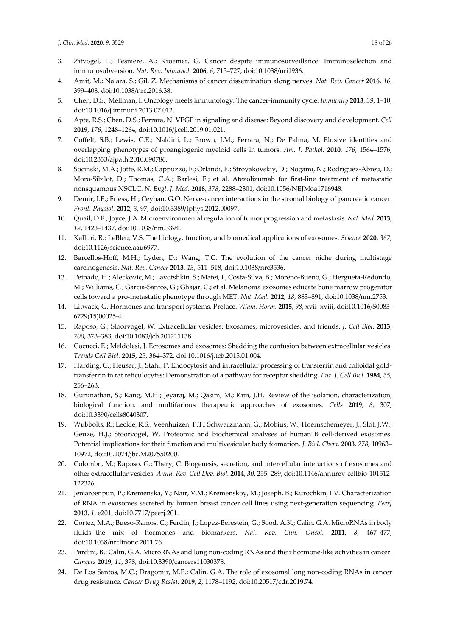- 3. Zitvogel, L.; Tesniere, A.; Kroemer, G. Cancer despite immunosurveillance: Immunoselection and immunosubversion. *Nat. Rev. Immunol.* **2006**, *6*, 715–727, doi:10.1038/nri1936.
- 4. Amit, M.; Na'ara, S.; Gil, Z. Mechanisms of cancer dissemination along nerves. *Nat. Rev. Cancer* **2016**, *16*, 399–408, doi:10.1038/nrc.2016.38.
- 5. Chen, D.S.; Mellman, I. Oncology meets immunology: The cancer-immunity cycle. *Immunity* **2013**, *39*, 1–10, doi:10.1016/j.immuni.2013.07.012.
- 6. Apte, R.S.; Chen, D.S.; Ferrara, N. VEGF in signaling and disease: Beyond discovery and development. *Cell*  **2019**, *176*, 1248–1264, doi:10.1016/j.cell.2019.01.021.
- 7. Coffelt, S.B.; Lewis, C.E.; Naldini, L.; Brown, J.M.; Ferrara, N.; De Palma, M. Elusive identities and overlapping phenotypes of proangiogenic myeloid cells in tumors. *Am. J. Pathol.* **2010**, *176*, 1564–1576, doi:10.2353/ajpath.2010.090786.
- 8. Socinski, M.A.; Jotte, R.M.; Cappuzzo, F.; Orlandi, F.; Stroyakovskiy, D.; Nogami, N.; Rodriguez-Abreu, D.; Moro-Sibilot, D.; Thomas, C.A.; Barlesi, F.; et al. Atezolizumab for first-line treatment of metastatic nonsquamous NSCLC. *N. Engl. J. Med.* **2018**, *378*, 2288–2301, doi:10.1056/NEJMoa1716948.
- 9. Demir, I.E.; Friess, H.; Ceyhan, G.O. Nerve-cancer interactions in the stromal biology of pancreatic cancer. *Front. Physiol.* **2012**, *3*, 97, doi:10.3389/fphys.2012.00097.
- 10. Quail, D.F.; Joyce, J.A. Microenvironmental regulation of tumor progression and metastasis. *Nat. Med.* **2013**, *19*, 1423–1437, doi:10.1038/nm.3394.
- 11. Kalluri, R.; LeBleu, V.S. The biology, function, and biomedical applications of exosomes. *Science* **2020**, *367*, doi:10.1126/science.aau6977.
- 12. Barcellos-Hoff, M.H.; Lyden, D.; Wang, T.C. The evolution of the cancer niche during multistage carcinogenesis. *Nat. Rev. Cancer* **2013**, *13*, 511–518, doi:10.1038/nrc3536.
- 13. Peinado, H.; Aleckovic, M.; Lavotshkin, S.; Matei, I.; Costa-Silva, B.; Moreno-Bueno, G.; Hergueta-Redondo, M.; Williams, C.; Garcia-Santos, G.; Ghajar, C.; et al. Melanoma exosomes educate bone marrow progenitor cells toward a pro-metastatic phenotype through MET. *Nat. Med.* **2012**, *18*, 883–891, doi:10.1038/nm.2753.
- 14. Litwack, G. Hormones and transport systems. Preface. *Vitam. Horm.* **2015**, *98*, xvii–xviii, doi:10.1016/S0083- 6729(15)00025-4.
- 15. Raposo, G.; Stoorvogel, W. Extracellular vesicles: Exosomes, microvesicles, and friends. *J. Cell Biol.* **2013**, *200*, 373–383, doi:10.1083/jcb.201211138.
- 16. Cocucci, E.; Meldolesi, J. Ectosomes and exosomes: Shedding the confusion between extracellular vesicles. *Trends Cell Biol.* **2015**, *25*, 364–372, doi:10.1016/j.tcb.2015.01.004.
- 17. Harding, C.; Heuser, J.; Stahl, P. Endocytosis and intracellular processing of transferrin and colloidal goldtransferrin in rat reticulocytes: Demonstration of a pathway for receptor shedding. *Eur. J. Cell Biol.* **1984**, *35*, 256–263.
- 18. Gurunathan, S.; Kang, M.H.; Jeyaraj, M.; Qasim, M.; Kim, J.H. Review of the isolation, characterization, biological function, and multifarious therapeutic approaches of exosomes. *Cells* **2019**, *8*, 307, doi:10.3390/cells8040307.
- 19. Wubbolts, R.; Leckie, R.S.; Veenhuizen, P.T.; Schwarzmann, G.; Mobius, W.; Hoernschemeyer, J.; Slot, J.W.; Geuze, H.J.; Stoorvogel, W. Proteomic and biochemical analyses of human B cell-derived exosomes. Potential implications for their function and multivesicular body formation. *J. Biol. Chem.* **2003**, *278*, 10963– 10972, doi:10.1074/jbc.M207550200.
- 20. Colombo, M.; Raposo, G.; Thery, C. Biogenesis, secretion, and intercellular interactions of exosomes and other extracellular vesicles. *Annu. Rev. Cell Dev. Biol.* **2014**, *30*, 255–289, doi:10.1146/annurev-cellbio-101512- 122326.
- 21. Jenjaroenpun, P.; Kremenska, Y.; Nair, V.M.; Kremenskoy, M.; Joseph, B.; Kurochkin, I.V. Characterization of RNA in exosomes secreted by human breast cancer cell lines using next-generation sequencing. *PeerJ*  **2013**, *1*, e201, doi:10.7717/peerj.201.
- 22. Cortez, M.A.; Bueso-Ramos, C.; Ferdin, J.; Lopez-Berestein, G.; Sood, A.K.; Calin, G.A. MicroRNAs in body fluids--the mix of hormones and biomarkers. *Nat. Rev. Clin. Oncol.* **2011**, *8*, 467–477, doi:10.1038/nrclinonc.2011.76.
- 23. Pardini, B.; Calin, G.A. MicroRNAs and long non-coding RNAs and their hormone-like activities in cancer. *Cancers* **2019**, *11*, 378, doi:10.3390/cancers11030378.
- 24. De Los Santos, M.C.; Dragomir, M.P.; Calin, G.A. The role of exosomal long non-coding RNAs in cancer drug resistance. *Cancer Drug Resist.* **2019**, *2*, 1178–1192, doi:10.20517/cdr.2019.74.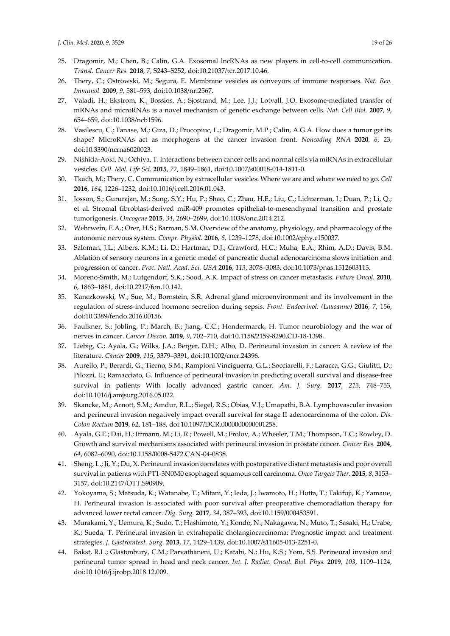- 25. Dragomir, M.; Chen, B.; Calin, G.A. Exosomal lncRNAs as new players in cell-to-cell communication. *Transl. Cancer Res.* **2018**, *7*, S243–S252, doi:10.21037/tcr.2017.10.46.
- 26. Thery, C.; Ostrowski, M.; Segura, E. Membrane vesicles as conveyors of immune responses. *Nat. Rev. Immunol.* **2009**, *9*, 581–593, doi:10.1038/nri2567.
- 27. Valadi, H.; Ekstrom, K.; Bossios, A.; Sjostrand, M.; Lee, J.J.; Lotvall, J.O. Exosome-mediated transfer of mRNAs and microRNAs is a novel mechanism of genetic exchange between cells. *Nat. Cell Biol.* **2007**, *9*, 654–659, doi:10.1038/ncb1596.
- 28. Vasilescu, C.; Tanase, M.; Giza, D.; Procopiuc, L.; Dragomir, M.P.; Calin, A.G.A. How does a tumor get its shape? MicroRNAs act as morphogens at the cancer invasion front. *Noncoding RNA* **2020**, *6*, 23, doi:10.3390/ncrna6020023.
- 29. Nishida-Aoki, N.; Ochiya, T. Interactions between cancer cells and normal cells via miRNAs in extracellular vesicles. *Cell. Mol. Life Sci.* **2015**, *72*, 1849–1861, doi:10.1007/s00018-014-1811-0.
- 30. Tkach, M.; Thery, C. Communication by extracellular vesicles: Where we are and where we need to go. *Cell*  **2016**, *164*, 1226–1232, doi:10.1016/j.cell.2016.01.043.
- 31. Josson, S.; Gururajan, M.; Sung, S.Y.; Hu, P.; Shao, C.; Zhau, H.E.; Liu, C.; Lichterman, J.; Duan, P.; Li, Q.; et al. Stromal fibroblast-derived miR-409 promotes epithelial-to-mesenchymal transition and prostate tumorigenesis. *Oncogene* **2015**, *34*, 2690–2699, doi:10.1038/onc.2014.212.
- 32. Wehrwein, E.A.; Orer, H.S.; Barman, S.M. Overview of the anatomy, physiology, and pharmacology of the autonomic nervous system. *Compr. Physiol.* **2016**, *6*, 1239–1278, doi:10.1002/cphy.c150037.
- 33. Saloman, J.L.; Albers, K.M.; Li, D.; Hartman, D.J.; Crawford, H.C.; Muha, E.A.; Rhim, A.D.; Davis, B.M. Ablation of sensory neurons in a genetic model of pancreatic ductal adenocarcinoma slows initiation and progression of cancer. *Proc. Natl. Acad. Sci. USA* **2016**, *113*, 3078–3083, doi:10.1073/pnas.1512603113.
- 34. Moreno-Smith, M.; Lutgendorf, S.K.; Sood, A.K. Impact of stress on cancer metastasis. *Future Oncol.* **2010**, *6*, 1863–1881, doi:10.2217/fon.10.142.
- 35. Kanczkowski, W.; Sue, M.; Bornstein, S.R. Adrenal gland microenvironment and its involvement in the regulation of stress-induced hormone secretion during sepsis. *Front. Endocrinol. (Lausanne)* **2016**, *7*, 156, doi:10.3389/fendo.2016.00156.
- 36. Faulkner, S.; Jobling, P.; March, B.; Jiang, C.C.; Hondermarck, H. Tumor neurobiology and the war of nerves in cancer. *Cancer Discov.* **2019**, *9*, 702–710, doi:10.1158/2159-8290.CD-18-1398.
- 37. Liebig, C.; Ayala, G.; Wilks, J.A.; Berger, D.H.; Albo, D. Perineural invasion in cancer: A review of the literature. *Cancer* **2009**, *115*, 3379–3391, doi:10.1002/cncr.24396.
- 38. Aurello, P.; Berardi, G.; Tierno, S.M.; Rampioni Vinciguerra, G.L.; Socciarelli, F.; Laracca, G.G.; Giulitti, D.; Pilozzi, E.; Ramacciato, G. Influence of perineural invasion in predicting overall survival and disease-free survival in patients With locally advanced gastric cancer. *Am. J. Surg.* **2017**, *213*, 748–753, doi:10.1016/j.amjsurg.2016.05.022.
- 39. Skancke, M.; Arnott, S.M.; Amdur, R.L.; Siegel, R.S.; Obias, V.J.; Umapathi, B.A. Lymphovascular invasion and perineural invasion negatively impact overall survival for stage II adenocarcinoma of the colon. *Dis. Colon Rectum* **2019**, *62*, 181–188, doi:10.1097/DCR.0000000000001258.
- 40. Ayala, G.E.; Dai, H.; Ittmann, M.; Li, R.; Powell, M.; Frolov, A.; Wheeler, T.M.; Thompson, T.C.; Rowley, D. Growth and survival mechanisms associated with perineural invasion in prostate cancer. *Cancer Res.* **2004**, *64*, 6082–6090, doi:10.1158/0008-5472.CAN-04-0838.
- 41. Sheng, L.; Ji, Y.; Du, X. Perineural invasion correlates with postoperative distant metastasis and poor overall survival in patients with PT1-3N0M0 esophageal squamous cell carcinoma. *Onco Targets Ther.* **2015**, *8*, 3153– 3157, doi:10.2147/OTT.S90909.
- 42. Yokoyama, S.; Matsuda, K.; Watanabe, T.; Mitani, Y.; Ieda, J.; Iwamoto, H.; Hotta, T.; Takifuji, K.; Yamaue, H. Perineural invasion is associated with poor survival after preoperative chemoradiation therapy for advanced lower rectal cancer. *Dig. Surg.* **2017**, *34*, 387–393, doi:10.1159/000453591.
- 43. Murakami, Y.; Uemura, K.; Sudo, T.; Hashimoto, Y.; Kondo, N.; Nakagawa, N.; Muto, T.; Sasaki, H.; Urabe, K.; Sueda, T. Perineural invasion in extrahepatic cholangiocarcinoma: Prognostic impact and treatment strategies. *J. Gastrointest. Surg.* **2013**, *17*, 1429–1439, doi:10.1007/s11605-013-2251-0.
- 44. Bakst, R.L.; Glastonbury, C.M.; Parvathaneni, U.; Katabi, N.; Hu, K.S.; Yom, S.S. Perineural invasion and perineural tumor spread in head and neck cancer. *Int. J. Radiat. Oncol. Biol. Phys.* **2019**, *103*, 1109–1124, doi:10.1016/j.ijrobp.2018.12.009.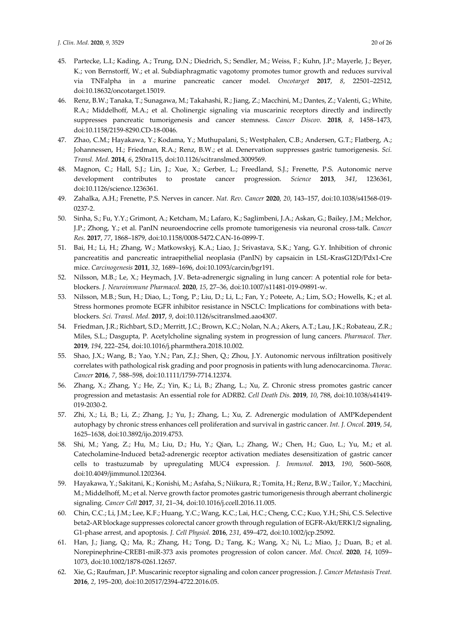- 45. Partecke, L.I.; Kading, A.; Trung, D.N.; Diedrich, S.; Sendler, M.; Weiss, F.; Kuhn, J.P.; Mayerle, J.; Beyer, K.; von Bernstorff, W.; et al. Subdiaphragmatic vagotomy promotes tumor growth and reduces survival via TNFalpha in a murine pancreatic cancer model. *Oncotarget* **2017**, *8*, 22501–22512, doi:10.18632/oncotarget.15019.
- 46. Renz, B.W.; Tanaka, T.; Sunagawa, M.; Takahashi, R.; Jiang, Z.; Macchini, M.; Dantes, Z.; Valenti, G.; White, R.A.; Middelhoff, M.A.; et al. Cholinergic signaling via muscarinic receptors directly and indirectly suppresses pancreatic tumorigenesis and cancer stemness. *Cancer Discov.* **2018**, *8*, 1458–1473, doi:10.1158/2159-8290.CD-18-0046.
- 47. Zhao, C.M.; Hayakawa, Y.; Kodama, Y.; Muthupalani, S.; Westphalen, C.B.; Andersen, G.T.; Flatberg, A.; Johannessen, H.; Friedman, R.A.; Renz, B.W.; et al. Denervation suppresses gastric tumorigenesis. *Sci. Transl. Med.* **2014**, *6*, 250ra115, doi:10.1126/scitranslmed.3009569.
- 48. Magnon, C.; Hall, S.J.; Lin, J.; Xue, X.; Gerber, L.; Freedland, S.J.; Frenette, P.S. Autonomic nerve development contributes to prostate cancer progression. *Science* **2013**, *341*, 1236361, doi:10.1126/science.1236361.
- 49. Zahalka, A.H.; Frenette, P.S. Nerves in cancer. *Nat. Rev. Cancer* **2020**, *20*, 143–157, doi:10.1038/s41568-019- 0237-2.
- 50. Sinha, S.; Fu, Y.Y.; Grimont, A.; Ketcham, M.; Lafaro, K.; Saglimbeni, J.A.; Askan, G.; Bailey, J.M.; Melchor, J.P.; Zhong, Y.; et al. PanIN neuroendocrine cells promote tumorigenesis via neuronal cross-talk. *Cancer Res.* **2017**, *77*, 1868–1879, doi:10.1158/0008-5472.CAN-16-0899-T.
- 51. Bai, H.; Li, H.; Zhang, W.; Matkowskyj, K.A.; Liao, J.; Srivastava, S.K.; Yang, G.Y. Inhibition of chronic pancreatitis and pancreatic intraepithelial neoplasia (PanIN) by capsaicin in LSL-KrasG12D/Pdx1-Cre mice. *Carcinogenesis* **2011**, *32*, 1689–1696, doi:10.1093/carcin/bgr191.
- 52. Nilsson, M.B.; Le, X.; Heymach, J.V. Beta-adrenergic signaling in lung cancer: A potential role for betablockers. *J. Neuroimmune Pharmacol.* **2020**, *15*, 27–36, doi:10.1007/s11481-019-09891-w.
- 53. Nilsson, M.B.; Sun, H.; Diao, L.; Tong, P.; Liu, D.; Li, L.; Fan, Y.; Poteete, A.; Lim, S.O.; Howells, K.; et al. Stress hormones promote EGFR inhibitor resistance in NSCLC: Implications for combinations with betablockers. *Sci. Transl. Med.* **2017**, *9*, doi:10.1126/scitranslmed.aao4307.
- 54. Friedman, J.R.; Richbart, S.D.; Merritt, J.C.; Brown, K.C.; Nolan, N.A.; Akers, A.T.; Lau, J.K.; Robateau, Z.R.; Miles, S.L.; Dasgupta, P. Acetylcholine signaling system in progression of lung cancers. *Pharmacol. Ther.*  **2019**, *194*, 222–254, doi:10.1016/j.pharmthera.2018.10.002.
- 55. Shao, J.X.; Wang, B.; Yao, Y.N.; Pan, Z.J.; Shen, Q.; Zhou, J.Y. Autonomic nervous infiltration positively correlates with pathological risk grading and poor prognosis in patients with lung adenocarcinoma. *Thorac. Cancer* **2016**, *7*, 588–598, doi:10.1111/1759-7714.12374.
- 56. Zhang, X.; Zhang, Y.; He, Z.; Yin, K.; Li, B.; Zhang, L.; Xu, Z. Chronic stress promotes gastric cancer progression and metastasis: An essential role for ADRB2. *Cell Death Dis.* **2019**, *10*, 788, doi:10.1038/s41419- 019-2030-2.
- 57. Zhi, X.; Li, B.; Li, Z.; Zhang, J.; Yu, J.; Zhang, L.; Xu, Z. Adrenergic modulation of AMPKdependent autophagy by chronic stress enhances cell proliferation and survival in gastric cancer. *Int. J. Oncol.* **2019**, *54*, 1625–1638, doi:10.3892/ijo.2019.4753.
- 58. Shi, M.; Yang, Z.; Hu, M.; Liu, D.; Hu, Y.; Qian, L.; Zhang, W.; Chen, H.; Guo, L.; Yu, M.; et al. Catecholamine-Induced beta2-adrenergic receptor activation mediates desensitization of gastric cancer cells to trastuzumab by upregulating MUC4 expression. *J. Immunol.* **2013**, *190*, 5600–5608, doi:10.4049/jimmunol.1202364.
- 59. Hayakawa, Y.; Sakitani, K.; Konishi, M.; Asfaha, S.; Niikura, R.; Tomita, H.; Renz, B.W.; Tailor, Y.; Macchini, M.; Middelhoff, M.; et al. Nerve growth factor promotes gastric tumorigenesis through aberrant cholinergic signaling. *Cancer Cell* **2017**, *31*, 21–34, doi:10.1016/j.ccell.2016.11.005.
- 60. Chin, C.C.; Li, J.M.; Lee, K.F.; Huang, Y.C.; Wang, K.C.; Lai, H.C.; Cheng, C.C.; Kuo, Y.H.; Shi, C.S. Selective beta2-AR blockage suppresses colorectal cancer growth through regulation of EGFR-Akt/ERK1/2 signaling, G1-phase arrest, and apoptosis. *J. Cell Physiol.* **2016**, *231*, 459–472, doi:10.1002/jcp.25092.
- 61. Han, J.; Jiang, Q.; Ma, R.; Zhang, H.; Tong, D.; Tang, K.; Wang, X.; Ni, L.; Miao, J.; Duan, B.; et al. Norepinephrine-CREB1-miR-373 axis promotes progression of colon cancer. *Mol. Oncol.* **2020**, *14*, 1059– 1073, doi:10.1002/1878-0261.12657.
- 62. Xie, G.; Raufman, J.P. Muscarinic receptor signaling and colon cancer progression. *J. Cancer Metastasis Treat.*  **2016**, *2*, 195–200, doi:10.20517/2394-4722.2016.05.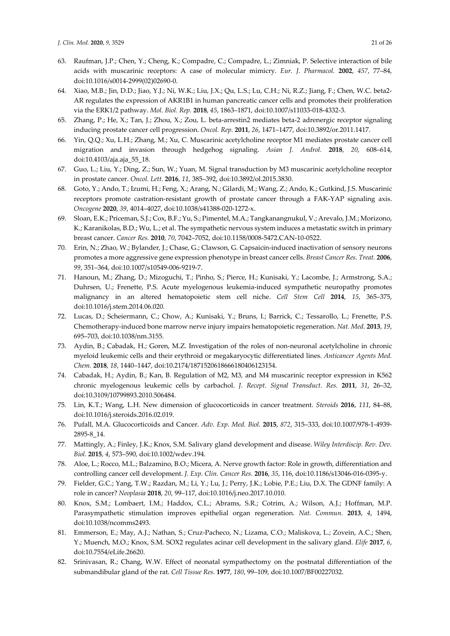- 63. Raufman, J.P.; Chen, Y.; Cheng, K.; Compadre, C.; Compadre, L.; Zimniak, P. Selective interaction of bile acids with muscarinic receptors: A case of molecular mimicry. *Eur. J. Pharmacol.* **2002**, *457*, 77–84, doi:10.1016/s0014-2999(02)02690-0.
- 64. Xiao, M.B.; Jin, D.D.; Jiao, Y.J.; Ni, W.K.; Liu, J.X.; Qu, L.S.; Lu, C.H.; Ni, R.Z.; Jiang, F.; Chen, W.C. beta2- AR regulates the expression of AKR1B1 in human pancreatic cancer cells and promotes their proliferation via the ERK1/2 pathway. *Mol. Biol. Rep.* **2018**, *45*, 1863–1871, doi:10.1007/s11033-018-4332-3.
- 65. Zhang, P.; He, X.; Tan, J.; Zhou, X.; Zou, L. beta-arrestin2 mediates beta-2 adrenergic receptor signaling inducing prostate cancer cell progression. *Oncol. Rep.* **2011**, *26*, 1471–1477, doi:10.3892/or.2011.1417.
- 66. Yin, Q.Q.; Xu, L.H.; Zhang, M.; Xu, C. Muscarinic acetylcholine receptor M1 mediates prostate cancer cell migration and invasion through hedgehog signaling. *Asian J. Androl.* **2018**, *20*, 608–614, doi:10.4103/aja.aja\_55\_18.
- 67. Guo, L.; Liu, Y.; Ding, Z.; Sun, W.; Yuan, M. Signal transduction by M3 muscarinic acetylcholine receptor in prostate cancer. *Oncol. Lett.* **2016**, *11*, 385–392, doi:10.3892/ol.2015.3830.
- 68. Goto, Y.; Ando, T.; Izumi, H.; Feng, X.; Arang, N.; Gilardi, M.; Wang, Z.; Ando, K.; Gutkind, J.S. Muscarinic receptors promote castration-resistant growth of prostate cancer through a FAK-YAP signaling axis. *Oncogene* **2020**, *39*, 4014–4027, doi:10.1038/s41388-020-1272-x.
- 69. Sloan, E.K.; Priceman, S.J.; Cox, B.F.; Yu, S.; Pimentel, M.A.; Tangkanangnukul, V.; Arevalo, J.M.; Morizono, K.; Karanikolas, B.D.; Wu, L.; et al. The sympathetic nervous system induces a metastatic switch in primary breast cancer. *Cancer Res.* **2010**, *70*, 7042–7052, doi:10.1158/0008-5472.CAN-10-0522.
- 70. Erin, N.; Zhao, W.; Bylander, J.; Chase, G.; Clawson, G. Capsaicin-induced inactivation of sensory neurons promotes a more aggressive gene expression phenotype in breast cancer cells. *Breast Cancer Res. Treat.* **2006**, *99*, 351–364, doi:10.1007/s10549-006-9219-7.
- 71. Hanoun, M.; Zhang, D.; Mizoguchi, T.; Pinho, S.; Pierce, H.; Kunisaki, Y.; Lacombe, J.; Armstrong, S.A.; Duhrsen, U.; Frenette, P.S. Acute myelogenous leukemia-induced sympathetic neuropathy promotes malignancy in an altered hematopoietic stem cell niche. *Cell Stem Cell* **2014**, *15*, 365–375, doi:10.1016/j.stem.2014.06.020.
- 72. Lucas, D.; Scheiermann, C.; Chow, A.; Kunisaki, Y.; Bruns, I.; Barrick, C.; Tessarollo, L.; Frenette, P.S. Chemotherapy-induced bone marrow nerve injury impairs hematopoietic regeneration. *Nat. Med.* **2013**, *19*, 695–703, doi:10.1038/nm.3155.
- 73. Aydin, B.; Cabadak, H.; Goren, M.Z. Investigation of the roles of non-neuronal acetylcholine in chronic myeloid leukemic cells and their erythroid or megakaryocytic differentiated lines. *Anticancer Agents Med. Chem.* **2018**, *18*, 1440–1447, doi:10.2174/1871520618666180406123154.
- 74. Cabadak, H.; Aydin, B.; Kan, B. Regulation of M2, M3, and M4 muscarinic receptor expression in K562 chronic myelogenous leukemic cells by carbachol. *J. Recept. Signal Transduct. Res.* **2011**, *31*, 26–32, doi:10.3109/10799893.2010.506484.
- 75. Lin, K.T.; Wang, L.H. New dimension of glucocorticoids in cancer treatment. *Steroids* **2016**, *111*, 84–88, doi:10.1016/j.steroids.2016.02.019.
- 76. Pufall, M.A. Glucocorticoids and Cancer. *Adv. Exp. Med. Biol.* **2015**, *872*, 315–333, doi:10.1007/978-1-4939- 2895-8\_14.
- 77. Mattingly, A.; Finley, J.K.; Knox, S.M. Salivary gland development and disease. *Wiley Interdiscip. Rev. Dev. Biol.* **2015**, *4*, 573–590, doi:10.1002/wdev.194.
- 78. Aloe, L.; Rocco, M.L.; Balzamino, B.O.; Micera, A. Nerve growth factor: Role in growth, differentiation and controlling cancer cell development. *J. Exp. Clin. Cancer Res.* **2016**, *35*, 116, doi:10.1186/s13046-016-0395-y.
- 79. Fielder, G.C.; Yang, T.W.; Razdan, M.; Li, Y.; Lu, J.; Perry, J.K.; Lobie, P.E.; Liu, D.X. The GDNF family: A role in cancer? *Neoplasia* **2018**, *20*, 99–117, doi:10.1016/j.neo.2017.10.010.
- 80. Knox, S.M.; Lombaert, I.M.; Haddox, C.L.; Abrams, S.R.; Cotrim, A.; Wilson, A.J.; Hoffman, M.P. Parasympathetic stimulation improves epithelial organ regeneration. *Nat. Commun.* **2013**, *4*, 1494, doi:10.1038/ncomms2493.
- 81. Emmerson, E.; May, A.J.; Nathan, S.; Cruz-Pacheco, N.; Lizama, C.O.; Maliskova, L.; Zovein, A.C.; Shen, Y.; Muench, M.O.; Knox, S.M. SOX2 regulates acinar cell development in the salivary gland. *Elife* **2017**, *6*, doi:10.7554/eLife.26620.
- 82. Srinivasan, R.; Chang, W.W. Effect of neonatal sympathectomy on the postnatal differentiation of the submandibular gland of the rat. *Cell Tissue Res.* **1977**, *180*, 99–109, doi:10.1007/BF00227032.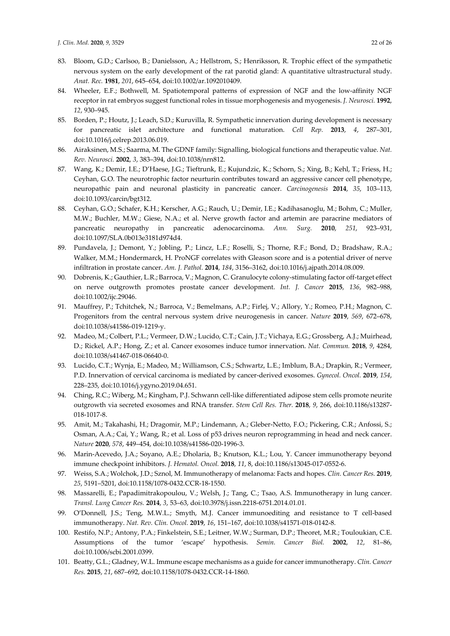- 83. Bloom, G.D.; Carlsoo, B.; Danielsson, A.; Hellstrom, S.; Henriksson, R. Trophic effect of the sympathetic nervous system on the early development of the rat parotid gland: A quantitative ultrastructural study. *Anat. Rec.* **1981**, *201*, 645–654, doi:10.1002/ar.1092010409.
- 84. Wheeler, E.F.; Bothwell, M. Spatiotemporal patterns of expression of NGF and the low-affinity NGF receptor in rat embryos suggest functional roles in tissue morphogenesis and myogenesis. *J. Neurosci.* **1992**, *12*, 930–945.
- 85. Borden, P.; Houtz, J.; Leach, S.D.; Kuruvilla, R. Sympathetic innervation during development is necessary for pancreatic islet architecture and functional maturation. *Cell Rep.* **2013**, *4*, 287–301, doi:10.1016/j.celrep.2013.06.019.
- 86. Airaksinen, M.S.; Saarma, M. The GDNF family: Signalling, biological functions and therapeutic value. *Nat. Rev. Neurosci.* **2002**, *3*, 383–394, doi:10.1038/nrn812.
- 87. Wang, K.; Demir, I.E.; D'Haese, J.G.; Tieftrunk, E.; Kujundzic, K.; Schorn, S.; Xing, B.; Kehl, T.; Friess, H.; Ceyhan, G.O. The neurotrophic factor neurturin contributes toward an aggressive cancer cell phenotype, neuropathic pain and neuronal plasticity in pancreatic cancer. *Carcinogenesis* **2014**, *35*, 103–113, doi:10.1093/carcin/bgt312.
- 88. Ceyhan, G.O.; Schafer, K.H.; Kerscher, A.G.; Rauch, U.; Demir, I.E.; Kadihasanoglu, M.; Bohm, C.; Muller, M.W.; Buchler, M.W.; Giese, N.A.; et al. Nerve growth factor and artemin are paracrine mediators of pancreatic neuropathy in pancreatic adenocarcinoma. *Ann. Surg.* **2010**, *251*, 923–931, doi:10.1097/SLA.0b013e3181d974d4.
- 89. Pundavela, J.; Demont, Y.; Jobling, P.; Lincz, L.F.; Roselli, S.; Thorne, R.F.; Bond, D.; Bradshaw, R.A.; Walker, M.M.; Hondermarck, H. ProNGF correlates with Gleason score and is a potential driver of nerve infiltration in prostate cancer. *Am. J. Pathol.* **2014**, *184*, 3156–3162, doi:10.1016/j.ajpath.2014.08.009.
- 90. Dobrenis, K.; Gauthier, L.R.; Barroca, V.; Magnon, C. Granulocyte colony-stimulating factor off-target effect on nerve outgrowth promotes prostate cancer development. *Int. J. Cancer* **2015**, *136*, 982–988, doi:10.1002/ijc.29046.
- 91. Mauffrey, P.; Tchitchek, N.; Barroca, V.; Bemelmans, A.P.; Firlej, V.; Allory, Y.; Romeo, P.H.; Magnon, C. Progenitors from the central nervous system drive neurogenesis in cancer. *Nature* **2019**, *569*, 672–678, doi:10.1038/s41586-019-1219-y.
- 92. Madeo, M.; Colbert, P.L.; Vermeer, D.W.; Lucido, C.T.; Cain, J.T.; Vichaya, E.G.; Grossberg, A.J.; Muirhead, D.; Rickel, A.P.; Hong, Z.; et al. Cancer exosomes induce tumor innervation. *Nat. Commun.* **2018**, *9*, 4284, doi:10.1038/s41467-018-06640-0.
- 93. Lucido, C.T.; Wynja, E.; Madeo, M.; Williamson, C.S.; Schwartz, L.E.; Imblum, B.A.; Drapkin, R.; Vermeer, P.D. Innervation of cervical carcinoma is mediated by cancer-derived exosomes. *Gynecol. Oncol.* **2019**, *154*, 228–235, doi:10.1016/j.ygyno.2019.04.651.
- 94. Ching, R.C.; Wiberg, M.; Kingham, P.J. Schwann cell-like differentiated adipose stem cells promote neurite outgrowth via secreted exosomes and RNA transfer. *Stem Cell Res. Ther.* **2018**, *9*, 266, doi:10.1186/s13287- 018-1017-8.
- 95. Amit, M.; Takahashi, H.; Dragomir, M.P.; Lindemann, A.; Gleber-Netto, F.O.; Pickering, C.R.; Anfossi, S.; Osman, A.A.; Cai, Y.; Wang, R.; et al. Loss of p53 drives neuron reprogramming in head and neck cancer. *Nature* **2020**, *578*, 449–454, doi:10.1038/s41586-020-1996-3.
- 96. Marin-Acevedo, J.A.; Soyano, A.E.; Dholaria, B.; Knutson, K.L.; Lou, Y. Cancer immunotherapy beyond immune checkpoint inhibitors. *J. Hematol. Oncol.* **2018**, *11*, 8, doi:10.1186/s13045-017-0552-6.
- 97. Weiss, S.A.; Wolchok, J.D.; Sznol, M. Immunotherapy of melanoma: Facts and hopes. *Clin. Cancer Res.* **2019**, *25*, 5191–5201, doi:10.1158/1078-0432.CCR-18-1550.
- 98. Massarelli, E.; Papadimitrakopoulou, V.; Welsh, J.; Tang, C.; Tsao, A.S. Immunotherapy in lung cancer. *Transl. Lung Cancer Res.* **2014**, *3*, 53–63, doi:10.3978/j.issn.2218-6751.2014.01.01.
- 99. O'Donnell, J.S.; Teng, M.W.L.; Smyth, M.J. Cancer immunoediting and resistance to T cell-based immunotherapy. *Nat. Rev. Clin. Oncol.* **2019**, *16*, 151–167, doi:10.1038/s41571-018-0142-8.
- 100. Restifo, N.P.; Antony, P.A.; Finkelstein, S.E.; Leitner, W.W.; Surman, D.P.; Theoret, M.R.; Touloukian, C.E. Assumptions of the tumor 'escape' hypothesis. *Semin. Cancer Biol.* **2002**, *12*, 81–86, doi:10.1006/scbi.2001.0399.
- 101. Beatty, G.L.; Gladney, W.L. Immune escape mechanisms as a guide for cancer immunotherapy. *Clin. Cancer Res.* **2015**, *21*, 687–692, doi:10.1158/1078-0432.CCR-14-1860.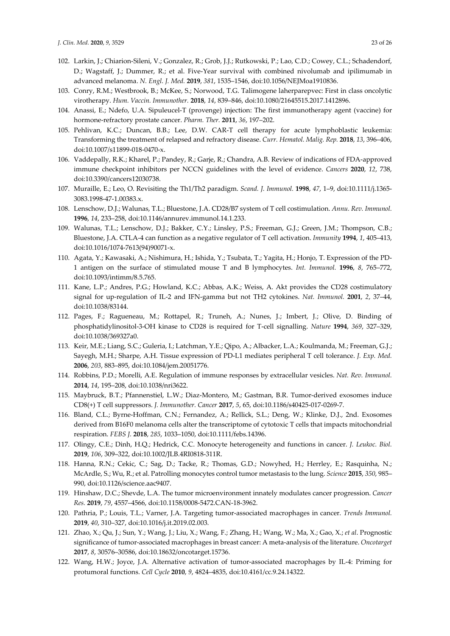- 102. Larkin, J.; Chiarion-Sileni, V.; Gonzalez, R.; Grob, J.J.; Rutkowski, P.; Lao, C.D.; Cowey, C.L.; Schadendorf, D.; Wagstaff, J.; Dummer, R.; et al. Five-Year survival with combined nivolumab and ipilimumab in advanced melanoma. *N. Engl. J. Med.* **2019**, *381*, 1535–1546, doi:10.1056/NEJMoa1910836.
- 103. Conry, R.M.; Westbrook, B.; McKee, S.; Norwood, T.G. Talimogene laherparepvec: First in class oncolytic virotherapy. *Hum. Vaccin. Immunother.* **2018**, *14*, 839–846, doi:10.1080/21645515.2017.1412896.
- 104. Anassi, E.; Ndefo, U.A. Sipuleucel-T (provenge) injection: The first immunotherapy agent (vaccine) for hormone-refractory prostate cancer. *Pharm. Ther.* **2011**, *36*, 197–202.
- 105. Pehlivan, K.C.; Duncan, B.B.; Lee, D.W. CAR-T cell therapy for acute lymphoblastic leukemia: Transforming the treatment of relapsed and refractory disease. *Curr. Hematol. Malig. Rep.* **2018**, *13*, 396–406, doi:10.1007/s11899-018-0470-x.
- 106. Vaddepally, R.K.; Kharel, P.; Pandey, R.; Garje, R.; Chandra, A.B. Review of indications of FDA-approved immune checkpoint inhibitors per NCCN guidelines with the level of evidence. *Cancers* **2020**, *12*, 738, doi:10.3390/cancers12030738.
- 107. Muraille, E.; Leo, O. Revisiting the Th1/Th2 paradigm. *Scand. J. Immunol.* **1998**, *47*, 1–9, doi:10.1111/j.1365- 3083.1998-47-1.00383.x.
- 108. Lenschow, D.J.; Walunas, T.L.; Bluestone, J.A. CD28/B7 system of T cell costimulation. *Annu. Rev. Immunol.*  **1996**, *14*, 233–258, doi:10.1146/annurev.immunol.14.1.233.
- 109. Walunas, T.L.; Lenschow, D.J.; Bakker, C.Y.; Linsley, P.S.; Freeman, G.J.; Green, J.M.; Thompson, C.B.; Bluestone, J.A. CTLA-4 can function as a negative regulator of T cell activation. *Immunity* **1994**, *1*, 405–413, doi:10.1016/1074-7613(94)90071-x.
- 110. Agata, Y.; Kawasaki, A.; Nishimura, H.; Ishida, Y.; Tsubata, T.; Yagita, H.; Honjo, T. Expression of the PD-1 antigen on the surface of stimulated mouse T and B lymphocytes. *Int. Immunol.* **1996**, *8*, 765–772, doi:10.1093/intimm/8.5.765.
- 111. Kane, L.P.; Andres, P.G.; Howland, K.C.; Abbas, A.K.; Weiss, A. Akt provides the CD28 costimulatory signal for up-regulation of IL-2 and IFN-gamma but not TH2 cytokines. *Nat. Immunol.* **2001**, *2*, 37–44, doi:10.1038/83144.
- 112. Pages, F.; Ragueneau, M.; Rottapel, R.; Truneh, A.; Nunes, J.; Imbert, J.; Olive, D. Binding of phosphatidylinositol-3-OH kinase to CD28 is required for T-cell signalling. *Nature* **1994**, *369*, 327–329, doi:10.1038/369327a0.
- 113. Keir, M.E.; Liang, S.C.; Guleria, I.; Latchman, Y.E.; Qipo, A.; Albacker, L.A.; Koulmanda, M.; Freeman, G.J.; Sayegh, M.H.; Sharpe, A.H. Tissue expression of PD-L1 mediates peripheral T cell tolerance. *J. Exp. Med.*  **2006**, *203*, 883–895, doi:10.1084/jem.20051776.
- 114. Robbins, P.D.; Morelli, A.E. Regulation of immune responses by extracellular vesicles. *Nat. Rev. Immunol.*  **2014**, *14*, 195–208, doi:10.1038/nri3622.
- 115. Maybruck, B.T.; Pfannenstiel, L.W.; Diaz-Montero, M.; Gastman, B.R. Tumor-derived exosomes induce CD8(+) T cell suppressors. *J. Immunother. Cancer* **2017**, *5*, 65, doi:10.1186/s40425-017-0269-7.
- 116. Bland, C.L.; Byrne-Hoffman, C.N.; Fernandez, A.; Rellick, S.L.; Deng, W.; Klinke, D.J., 2nd. Exosomes derived from B16F0 melanoma cells alter the transcriptome of cytotoxic T cells that impacts mitochondrial respiration. *FEBS J.* **2018**, *285*, 1033–1050, doi:10.1111/febs.14396.
- 117. Olingy, C.E.; Dinh, H.Q.; Hedrick, C.C. Monocyte heterogeneity and functions in cancer. *J. Leukoc. Biol.*  **2019**, *106*, 309–322, doi:10.1002/JLB.4RI0818-311R.
- 118. Hanna, R.N.; Cekic, C.; Sag, D.; Tacke, R.; Thomas, G.D.; Nowyhed, H.; Herrley, E.; Rasquinha, N.; McArdle, S.; Wu, R.; et al. Patrolling monocytes control tumor metastasis to the lung. *Science* **2015**, *350*, 985– 990, doi:10.1126/science.aac9407.
- 119. Hinshaw, D.C.; Shevde, L.A. The tumor microenvironment innately modulates cancer progression. *Cancer Res.* **2019**, *79*, 4557–4566, doi:10.1158/0008-5472.CAN-18-3962.
- 120. Pathria, P.; Louis, T.L.; Varner, J.A. Targeting tumor-associated macrophages in cancer. *Trends Immunol.*  **2019**, *40*, 310–327, doi:10.1016/j.it.2019.02.003.
- 121. Zhao, X.; Qu, J.; Sun, Y.; Wang, J.; Liu, X.; Wang, F.; Zhang, H.; Wang, W.; Ma, X.; Gao, X.; *et al*. Prognostic significance of tumor-associated macrophages in breast cancer: A meta-analysis of the literature. *Oncotarget*  **2017**, *8*, 30576–30586, doi:10.18632/oncotarget.15736.
- 122. Wang, H.W.; Joyce, J.A. Alternative activation of tumor-associated macrophages by IL-4: Priming for protumoral functions. *Cell Cycle* **2010**, *9*, 4824–4835, doi:10.4161/cc.9.24.14322.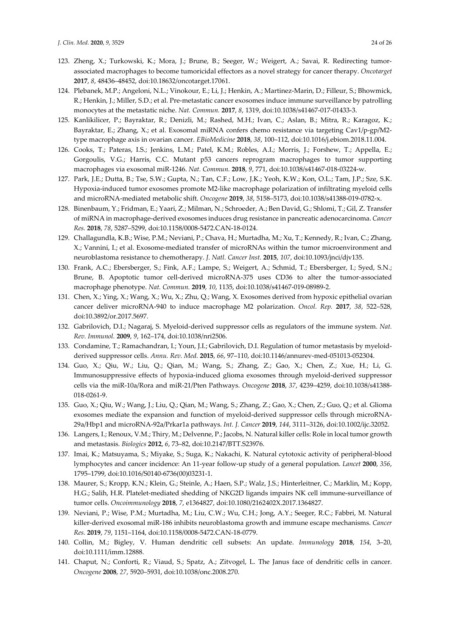- 123. Zheng, X.; Turkowski, K.; Mora, J.; Brune, B.; Seeger, W.; Weigert, A.; Savai, R. Redirecting tumorassociated macrophages to become tumoricidal effectors as a novel strategy for cancer therapy. *Oncotarget*  **2017**, *8*, 48436–48452, doi:10.18632/oncotarget.17061.
- 124. Plebanek, M.P.; Angeloni, N.L.; Vinokour, E.; Li, J.; Henkin, A.; Martinez-Marin, D.; Filleur, S.; Bhowmick, R.; Henkin, J.; Miller, S.D.; et al. Pre-metastatic cancer exosomes induce immune surveillance by patrolling monocytes at the metastatic niche. *Nat. Commun.* **2017**, *8*, 1319, doi:10.1038/s41467-017-01433-3.
- 125. Kanlikilicer, P.; Bayraktar, R.; Denizli, M.; Rashed, M.H.; Ivan, C.; Aslan, B.; Mitra, R.; Karagoz, K.; Bayraktar, E.; Zhang, X.; et al. Exosomal miRNA confers chemo resistance via targeting Cav1/p-gp/M2 type macrophage axis in ovarian cancer. *EBioMedicine* **2018**, *38*, 100–112, doi:10.1016/j.ebiom.2018.11.004.
- 126. Cooks, T.; Pateras, I.S.; Jenkins, L.M.; Patel, K.M.; Robles, A.I.; Morris, J.; Forshew, T.; Appella, E.; Gorgoulis, V.G.; Harris, C.C. Mutant p53 cancers reprogram macrophages to tumor supporting macrophages via exosomal miR-1246. *Nat. Commun.* **2018**, *9*, 771, doi:10.1038/s41467-018-03224-w.
- 127. Park, J.E.; Dutta, B.; Tse, S.W.; Gupta, N.; Tan, C.F.; Low, J.K.; Yeoh, K.W.; Kon, O.L.; Tam, J.P.; Sze, S.K. Hypoxia-induced tumor exosomes promote M2-like macrophage polarization of infiltrating myeloid cells and microRNA-mediated metabolic shift. *Oncogene* **2019**, *38*, 5158–5173, doi:10.1038/s41388-019-0782-x.
- 128. Binenbaum, Y.; Fridman, E.; Yaari, Z.; Milman, N.; Schroeder, A.; Ben David, G.; Shlomi, T.; Gil, Z. Transfer of miRNA in macrophage-derived exosomes induces drug resistance in pancreatic adenocarcinoma. *Cancer Res.* **2018**, *78*, 5287–5299, doi:10.1158/0008-5472.CAN-18-0124.
- 129. Challagundla, K.B.; Wise, P.M.; Neviani, P.; Chava, H.; Murtadha, M.; Xu, T.; Kennedy, R.; Ivan, C.; Zhang, X.; Vannini, I.; et al. Exosome-mediated transfer of microRNAs within the tumor microenvironment and neuroblastoma resistance to chemotherapy. *J. Natl. Cancer Inst.* **2015**, *107*, doi:10.1093/jnci/djv135.
- 130. Frank, A.C.; Ebersberger, S.; Fink, A.F.; Lampe, S.; Weigert, A.; Schmid, T.; Ebersberger, I.; Syed, S.N.; Brune, B. Apoptotic tumor cell-derived microRNA-375 uses CD36 to alter the tumor-associated macrophage phenotype. *Nat. Commun.* **2019**, *10*, 1135, doi:10.1038/s41467-019-08989-2.
- 131. Chen, X.; Ying, X.; Wang, X.; Wu, X.; Zhu, Q.; Wang, X. Exosomes derived from hypoxic epithelial ovarian cancer deliver microRNA-940 to induce macrophage M2 polarization. *Oncol. Rep.* **2017**, *38*, 522–528, doi:10.3892/or.2017.5697.
- 132. Gabrilovich, D.I.; Nagaraj, S. Myeloid-derived suppressor cells as regulators of the immune system. *Nat. Rev. Immunol.* **2009**, *9*, 162–174, doi:10.1038/nri2506.
- 133. Condamine, T.; Ramachandran, I.; Youn, J.I.; Gabrilovich, D.I. Regulation of tumor metastasis by myeloidderived suppressor cells. *Annu. Rev. Med.* **2015**, *66*, 97–110, doi:10.1146/annurev-med-051013-052304.
- 134. Guo, X.; Qiu, W.; Liu, Q.; Qian, M.; Wang, S.; Zhang, Z.; Gao, X.; Chen, Z.; Xue, H.; Li, G. Immunosuppressive effects of hypoxia-induced glioma exosomes through myeloid-derived suppressor cells via the miR-10a/Rora and miR-21/Pten Pathways. *Oncogene* **2018**, *37*, 4239–4259, doi:10.1038/s41388- 018-0261-9.
- 135. Guo, X.; Qiu, W.; Wang, J.; Liu, Q.; Qian, M.; Wang, S.; Zhang, Z.; Gao, X.; Chen, Z.; Guo, Q.; et al. Glioma exosomes mediate the expansion and function of myeloid-derived suppressor cells through microRNA-29a/Hbp1 and microRNA-92a/Prkar1a pathways. *Int. J. Cancer* **2019**, *144*, 3111–3126, doi:10.1002/ijc.32052.
- 136. Langers, I.; Renoux, V.M.; Thiry, M.; Delvenne, P.; Jacobs, N. Natural killer cells: Role in local tumor growth and metastasis. *Biologics* **2012**, *6*, 73–82, doi:10.2147/BTT.S23976.
- 137. Imai, K.; Matsuyama, S.; Miyake, S.; Suga, K.; Nakachi, K. Natural cytotoxic activity of peripheral-blood lymphocytes and cancer incidence: An 11-year follow-up study of a general population. *Lancet* **2000**, *356*, 1795–1799, doi:10.1016/S0140-6736(00)03231-1.
- 138. Maurer, S.; Kropp, K.N.; Klein, G.; Steinle, A.; Haen, S.P.; Walz, J.S.; Hinterleitner, C.; Marklin, M.; Kopp, H.G.; Salih, H.R. Platelet-mediated shedding of NKG2D ligands impairs NK cell immune-surveillance of tumor cells. *Oncoimmunology* **2018**, *7*, e1364827, doi:10.1080/2162402X.2017.1364827.
- 139. Neviani, P.; Wise, P.M.; Murtadha, M.; Liu, C.W.; Wu, C.H.; Jong, A.Y.; Seeger, R.C.; Fabbri, M. Natural killer-derived exosomal miR-186 inhibits neuroblastoma growth and immune escape mechanisms. *Cancer Res.* **2019**, *79*, 1151–1164, doi:10.1158/0008-5472.CAN-18-0779.
- 140. Collin, M.; Bigley, V. Human dendritic cell subsets: An update. *Immunology* **2018**, *154*, 3–20, doi:10.1111/imm.12888.
- 141. Chaput, N.; Conforti, R.; Viaud, S.; Spatz, A.; Zitvogel, L. The Janus face of dendritic cells in cancer. *Oncogene* **2008**, *27*, 5920–5931, doi:10.1038/onc.2008.270.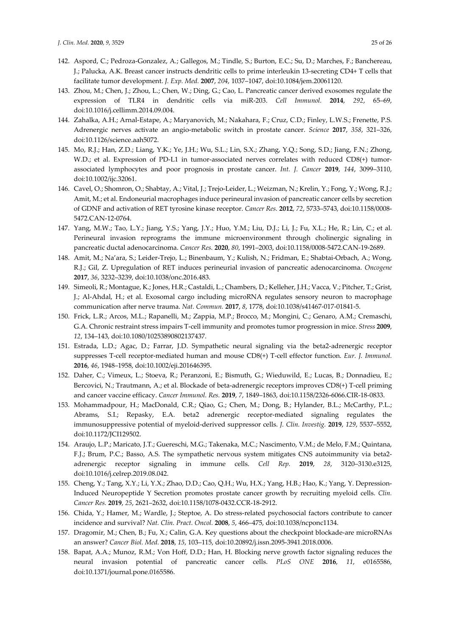- 142. Aspord, C.; Pedroza-Gonzalez, A.; Gallegos, M.; Tindle, S.; Burton, E.C.; Su, D.; Marches, F.; Banchereau, J.; Palucka, A.K. Breast cancer instructs dendritic cells to prime interleukin 13-secreting CD4+ T cells that facilitate tumor development. *J. Exp. Med.* **2007**, *204*, 1037–1047, doi:10.1084/jem.20061120.
- 143. Zhou, M.; Chen, J.; Zhou, L.; Chen, W.; Ding, G.; Cao, L. Pancreatic cancer derived exosomes regulate the expression of TLR4 in dendritic cells via miR-203. *Cell Immunol.* **2014**, *292*, 65–69, doi:10.1016/j.cellimm.2014.09.004.
- 144. Zahalka, A.H.; Arnal-Estape, A.; Maryanovich, M.; Nakahara, F.; Cruz, C.D.; Finley, L.W.S.; Frenette, P.S. Adrenergic nerves activate an angio-metabolic switch in prostate cancer. *Science* **2017**, *358*, 321–326, doi:10.1126/science.aah5072.
- 145. Mo, R.J.; Han, Z.D.; Liang, Y.K.; Ye, J.H.; Wu, S.L.; Lin, S.X.; Zhang, Y.Q.; Song, S.D.; Jiang, F.N.; Zhong, W.D.; et al. Expression of PD-L1 in tumor-associated nerves correlates with reduced CD8(+) tumorassociated lymphocytes and poor prognosis in prostate cancer. *Int. J. Cancer* **2019**, *144*, 3099–3110, doi:10.1002/ijc.32061.
- 146. Cavel, O.; Shomron, O.; Shabtay, A.; Vital, J.; Trejo-Leider, L.; Weizman, N.; Krelin, Y.; Fong, Y.; Wong, R.J.; Amit, M.; et al. Endoneurial macrophages induce perineural invasion of pancreatic cancer cells by secretion of GDNF and activation of RET tyrosine kinase receptor. *Cancer Res.* **2012**, *72*, 5733–5743, doi:10.1158/0008- 5472.CAN-12-0764.
- 147. Yang, M.W.; Tao, L.Y.; Jiang, Y.S.; Yang, J.Y.; Huo, Y.M.; Liu, D.J.; Li, J.; Fu, X.L.; He, R.; Lin, C.; et al. Perineural invasion reprograms the immune microenvironment through cholinergic signaling in pancreatic ductal adenocarcinoma. *Cancer Res.* **2020**, *80*, 1991–2003, doi:10.1158/0008-5472.CAN-19-2689.
- 148. Amit, M.; Na'ara, S.; Leider-Trejo, L.; Binenbaum, Y.; Kulish, N.; Fridman, E.; Shabtai-Orbach, A.; Wong, R.J.; Gil, Z. Upregulation of RET induces perineurial invasion of pancreatic adenocarcinoma. *Oncogene*  **2017**, *36*, 3232–3239, doi:10.1038/onc.2016.483.
- 149. Simeoli, R.; Montague, K.; Jones, H.R.; Castaldi, L.; Chambers, D.; Kelleher, J.H.; Vacca, V.; Pitcher, T.; Grist, J.; Al-Ahdal, H.; et al. Exosomal cargo including microRNA regulates sensory neuron to macrophage communication after nerve trauma. *Nat. Commun.* **2017**, *8*, 1778, doi:10.1038/s41467-017-01841-5.
- 150. Frick, L.R.; Arcos, M.L.; Rapanelli, M.; Zappia, M.P.; Brocco, M.; Mongini, C.; Genaro, A.M.; Cremaschi, G.A. Chronic restraint stress impairs T-cell immunity and promotes tumor progression in mice. *Stress* **2009**, *12*, 134–143, doi:10.1080/10253890802137437.
- 151. Estrada, L.D.; Agac, D.; Farrar, J.D. Sympathetic neural signaling via the beta2-adrenergic receptor suppresses T-cell receptor-mediated human and mouse CD8(+) T-cell effector function. *Eur. J. Immunol.*  **2016**, *46*, 1948–1958, doi:10.1002/eji.201646395.
- 152. Daher, C.; Vimeux, L.; Stoeva, R.; Peranzoni, E.; Bismuth, G.; Wieduwild, E.; Lucas, B.; Donnadieu, E.; Bercovici, N.; Trautmann, A.; et al. Blockade of beta-adrenergic receptors improves CD8(+) T-cell priming and cancer vaccine efficacy. *Cancer Immunol. Res.* **2019**, *7*, 1849–1863, doi:10.1158/2326-6066.CIR-18-0833.
- 153. Mohammadpour, H.; MacDonald, C.R.; Qiao, G.; Chen, M.; Dong, B.; Hylander, B.L.; McCarthy, P.L.; Abrams, S.I.; Repasky, E.A. beta2 adrenergic receptor-mediated signaling regulates the immunosuppressive potential of myeloid-derived suppressor cells. *J. Clin. Investig.* **2019**, *129*, 5537–5552, doi:10.1172/JCI129502.
- 154. Araujo, L.P.; Maricato, J.T.; Guereschi, M.G.; Takenaka, M.C.; Nascimento, V.M.; de Melo, F.M.; Quintana, F.J.; Brum, P.C.; Basso, A.S. The sympathetic nervous system mitigates CNS autoimmunity via beta2 adrenergic receptor signaling in immune cells. *Cell Rep.* **2019**, *28*, 3120–3130.e3125, doi:10.1016/j.celrep.2019.08.042.
- 155. Cheng, Y.; Tang, X.Y.; Li, Y.X.; Zhao, D.D.; Cao, Q.H.; Wu, H.X.; Yang, H.B.; Hao, K.; Yang, Y. Depression-Induced Neuropeptide Y Secretion promotes prostate cancer growth by recruiting myeloid cells. *Clin. Cancer Res.* **2019**, *25*, 2621–2632, doi:10.1158/1078-0432.CCR-18-2912.
- 156. Chida, Y.; Hamer, M.; Wardle, J.; Steptoe, A. Do stress-related psychosocial factors contribute to cancer incidence and survival? *Nat. Clin. Pract. Oncol.* **2008**, *5*, 466–475, doi:10.1038/ncponc1134.
- 157. Dragomir, M.; Chen, B.; Fu, X.; Calin, G.A. Key questions about the checkpoint blockade-are microRNAs an answer? *Cancer Biol. Med.* **2018**, *15*, 103–115, doi:10.20892/j.issn.2095-3941.2018.0006.
- 158. Bapat, A.A.; Munoz, R.M.; Von Hoff, D.D.; Han, H. Blocking nerve growth factor signaling reduces the neural invasion potential of pancreatic cancer cells. *PLoS ONE* **2016**, *11*, e0165586, doi:10.1371/journal.pone.0165586.